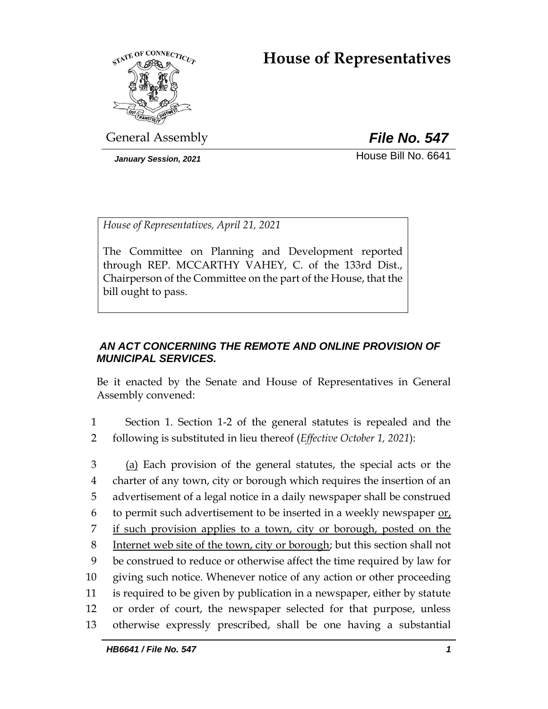# **House of Representatives**



General Assembly *File No. 547*

*January Session, 2021* **House Bill No. 6641** 

*House of Representatives, April 21, 2021*

The Committee on Planning and Development reported through REP. MCCARTHY VAHEY, C. of the 133rd Dist., Chairperson of the Committee on the part of the House, that the bill ought to pass.

# *AN ACT CONCERNING THE REMOTE AND ONLINE PROVISION OF MUNICIPAL SERVICES.*

Be it enacted by the Senate and House of Representatives in General Assembly convened:

- 1 Section 1. Section 1-2 of the general statutes is repealed and the 2 following is substituted in lieu thereof (*Effective October 1, 2021*):
- 3 (a) Each provision of the general statutes, the special acts or the 4 charter of any town, city or borough which requires the insertion of an 5 advertisement of a legal notice in a daily newspaper shall be construed 6 to permit such advertisement to be inserted in a weekly newspaper or, 7 if such provision applies to a town, city or borough, posted on the 8 Internet web site of the town, city or borough; but this section shall not 9 be construed to reduce or otherwise affect the time required by law for 10 giving such notice. Whenever notice of any action or other proceeding 11 is required to be given by publication in a newspaper, either by statute 12 or order of court, the newspaper selected for that purpose, unless 13 otherwise expressly prescribed, shall be one having a substantial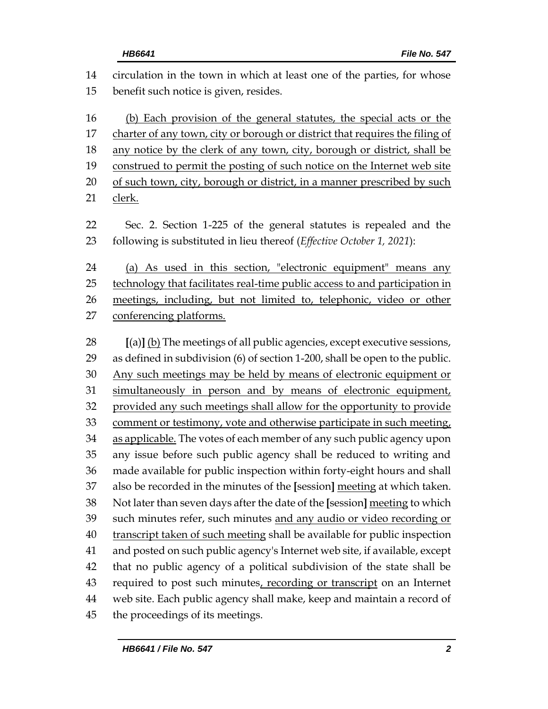| 14 | circulation in the town in which at least one of the parties, for whose      |
|----|------------------------------------------------------------------------------|
| 15 | benefit such notice is given, resides.                                       |
| 16 | (b) Each provision of the general statutes, the special acts or the          |
| 17 | charter of any town, city or borough or district that requires the filing of |
| 18 | any notice by the clerk of any town, city, borough or district, shall be     |
| 19 | construed to permit the posting of such notice on the Internet web site      |
| 20 | of such town, city, borough or district, in a manner prescribed by such      |
|    |                                                                              |
| 21 | clerk.                                                                       |
| 22 | Sec. 2. Section 1-225 of the general statutes is repealed and the            |
| 23 | following is substituted in lieu thereof (Effective October 1, 2021):        |
| 24 | (a) As used in this section, "electronic equipment" means any                |
| 25 | technology that facilitates real-time public access to and participation in  |
| 26 | meetings, including, but not limited to, telephonic, video or other          |
| 27 | conferencing platforms.                                                      |
|    |                                                                              |
| 28 | $[(a)]$ (b) The meetings of all public agencies, except executive sessions,  |
| 29 | as defined in subdivision (6) of section 1-200, shall be open to the public. |
| 30 | Any such meetings may be held by means of electronic equipment or            |
| 31 | simultaneously in person and by means of electronic equipment,               |
| 32 | provided any such meetings shall allow for the opportunity to provide        |
| 33 | comment or testimony, vote and otherwise participate in such meeting,        |
| 34 | as applicable. The votes of each member of any such public agency upon       |
| 35 | any issue before such public agency shall be reduced to writing and          |
| 36 | made available for public inspection within forty-eight hours and shall      |
| 37 | also be recorded in the minutes of the [session] meeting at which taken.     |
| 38 | Not later than seven days after the date of the [session] meeting to which   |
| 39 | such minutes refer, such minutes and any audio or video recording or         |
| 40 | transcript taken of such meeting shall be available for public inspection    |
| 41 | and posted on such public agency's Internet web site, if available, except   |
| 42 | that no public agency of a political subdivision of the state shall be       |
| 43 | required to post such minutes, recording or transcript on an Internet        |
| 44 | web site. Each public agency shall make, keep and maintain a record of       |
| 45 | the proceedings of its meetings.                                             |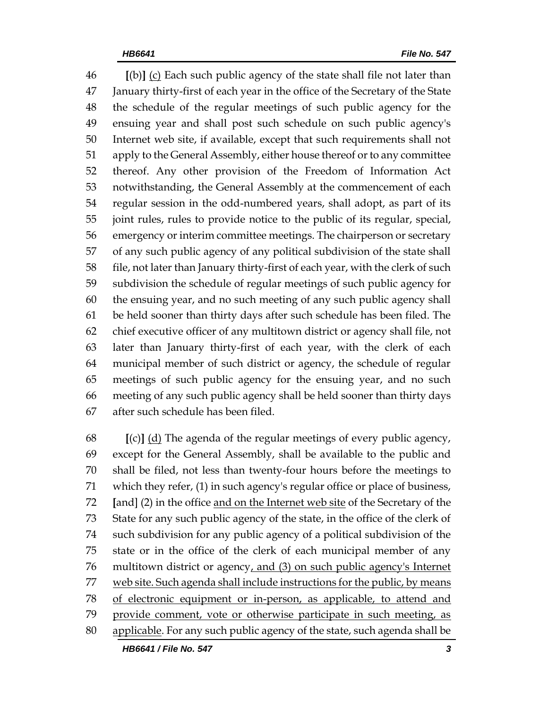**[**(b)**]** (c) Each such public agency of the state shall file not later than January thirty-first of each year in the office of the Secretary of the State the schedule of the regular meetings of such public agency for the ensuing year and shall post such schedule on such public agency's Internet web site, if available, except that such requirements shall not apply to the General Assembly, either house thereof or to any committee thereof. Any other provision of the Freedom of Information Act notwithstanding, the General Assembly at the commencement of each regular session in the odd-numbered years, shall adopt, as part of its joint rules, rules to provide notice to the public of its regular, special, emergency or interim committee meetings. The chairperson or secretary of any such public agency of any political subdivision of the state shall file, not later than January thirty-first of each year, with the clerk of such subdivision the schedule of regular meetings of such public agency for the ensuing year, and no such meeting of any such public agency shall be held sooner than thirty days after such schedule has been filed. The chief executive officer of any multitown district or agency shall file, not later than January thirty-first of each year, with the clerk of each municipal member of such district or agency, the schedule of regular meetings of such public agency for the ensuing year, and no such meeting of any such public agency shall be held sooner than thirty days after such schedule has been filed.

 **[**(c)**]** (d) The agenda of the regular meetings of every public agency, except for the General Assembly, shall be available to the public and shall be filed, not less than twenty-four hours before the meetings to which they refer, (1) in such agency's regular office or place of business, **[**and] (2) in the office and on the Internet web site of the Secretary of the State for any such public agency of the state, in the office of the clerk of such subdivision for any public agency of a political subdivision of the state or in the office of the clerk of each municipal member of any multitown district or agency, and (3) on such public agency's Internet 77 web site. Such agenda shall include instructions for the public, by means of electronic equipment or in-person, as applicable, to attend and provide comment, vote or otherwise participate in such meeting, as applicable. For any such public agency of the state, such agenda shall be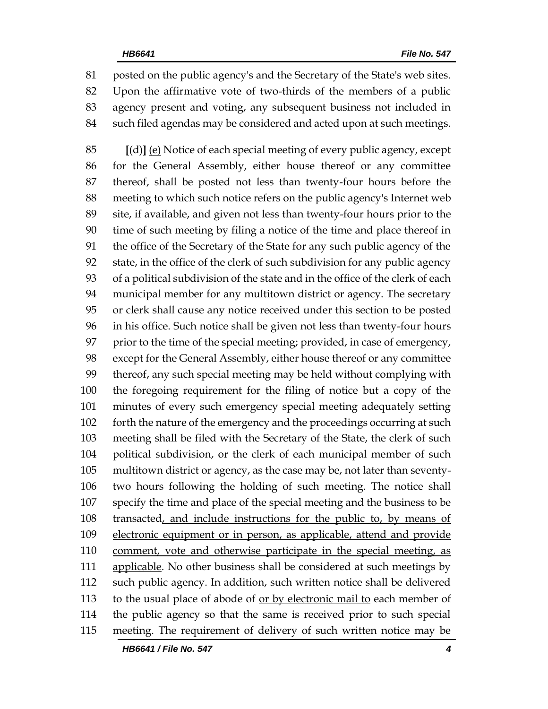posted on the public agency's and the Secretary of the State's web sites. Upon the affirmative vote of two-thirds of the members of a public agency present and voting, any subsequent business not included in such filed agendas may be considered and acted upon at such meetings.

 **[**(d)**]** (e) Notice of each special meeting of every public agency, except for the General Assembly, either house thereof or any committee thereof, shall be posted not less than twenty-four hours before the meeting to which such notice refers on the public agency's Internet web site, if available, and given not less than twenty-four hours prior to the time of such meeting by filing a notice of the time and place thereof in the office of the Secretary of the State for any such public agency of the state, in the office of the clerk of such subdivision for any public agency of a political subdivision of the state and in the office of the clerk of each municipal member for any multitown district or agency. The secretary or clerk shall cause any notice received under this section to be posted in his office. Such notice shall be given not less than twenty-four hours prior to the time of the special meeting; provided, in case of emergency, except for the General Assembly, either house thereof or any committee thereof, any such special meeting may be held without complying with the foregoing requirement for the filing of notice but a copy of the minutes of every such emergency special meeting adequately setting 102 forth the nature of the emergency and the proceedings occurring at such meeting shall be filed with the Secretary of the State, the clerk of such political subdivision, or the clerk of each municipal member of such multitown district or agency, as the case may be, not later than seventy- two hours following the holding of such meeting. The notice shall specify the time and place of the special meeting and the business to be transacted, and include instructions for the public to, by means of electronic equipment or in person, as applicable, attend and provide comment, vote and otherwise participate in the special meeting, as applicable. No other business shall be considered at such meetings by such public agency. In addition, such written notice shall be delivered to the usual place of abode of or by electronic mail to each member of the public agency so that the same is received prior to such special meeting. The requirement of delivery of such written notice may be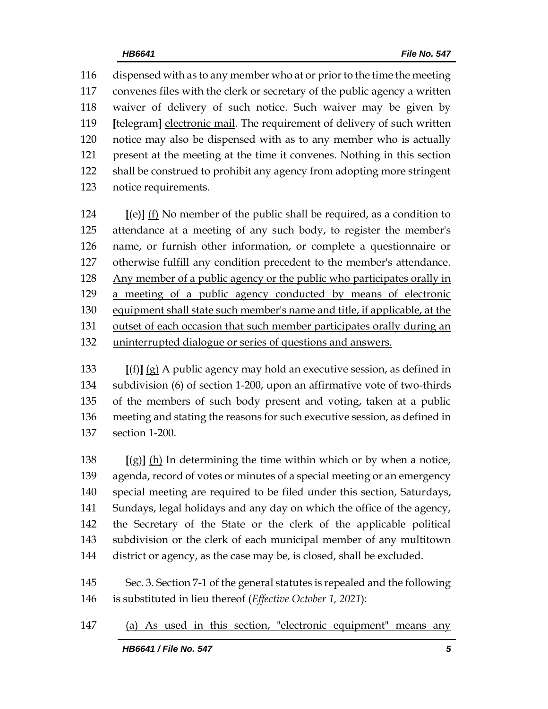dispensed with as to any member who at or prior to the time the meeting convenes files with the clerk or secretary of the public agency a written waiver of delivery of such notice. Such waiver may be given by **[**telegram**]** electronic mail. The requirement of delivery of such written notice may also be dispensed with as to any member who is actually present at the meeting at the time it convenes. Nothing in this section shall be construed to prohibit any agency from adopting more stringent notice requirements.

 **[**(e)**]** (f) No member of the public shall be required, as a condition to attendance at a meeting of any such body, to register the member's name, or furnish other information, or complete a questionnaire or otherwise fulfill any condition precedent to the member's attendance. Any member of a public agency or the public who participates orally in a meeting of a public agency conducted by means of electronic equipment shall state such member's name and title, if applicable, at the outset of each occasion that such member participates orally during an uninterrupted dialogue or series of questions and answers.

 **[**(f)**]** (g) A public agency may hold an executive session, as defined in subdivision (6) of section 1-200, upon an affirmative vote of two-thirds of the members of such body present and voting, taken at a public meeting and stating the reasons for such executive session, as defined in section 1-200.

 **[**(g)**]** (h) In determining the time within which or by when a notice, agenda, record of votes or minutes of a special meeting or an emergency special meeting are required to be filed under this section, Saturdays, Sundays, legal holidays and any day on which the office of the agency, the Secretary of the State or the clerk of the applicable political subdivision or the clerk of each municipal member of any multitown 144 district or agency, as the case may be, is closed, shall be excluded.

 Sec. 3. Section 7-1 of the general statutes is repealed and the following is substituted in lieu thereof (*Effective October 1, 2021*):

(a) As used in this section, "electronic equipment" means any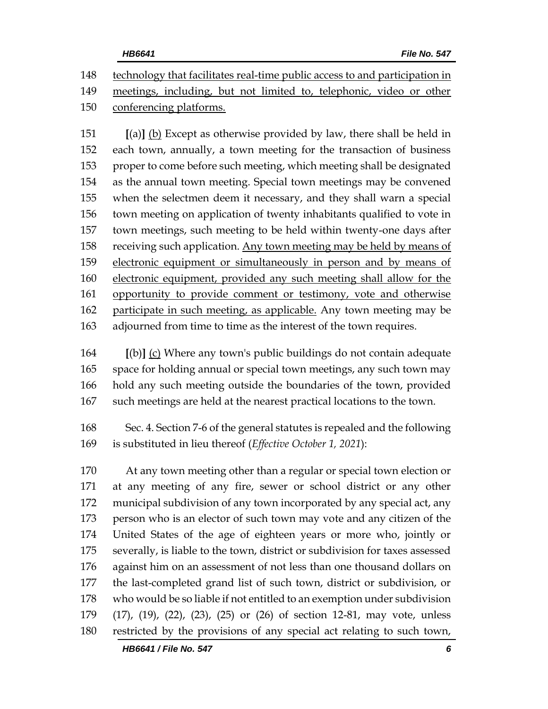technology that facilitates real-time public access to and participation in meetings, including, but not limited to, telephonic, video or other conferencing platforms.

 **[**(a)**]** (b) Except as otherwise provided by law, there shall be held in each town, annually, a town meeting for the transaction of business proper to come before such meeting, which meeting shall be designated as the annual town meeting. Special town meetings may be convened when the selectmen deem it necessary, and they shall warn a special town meeting on application of twenty inhabitants qualified to vote in town meetings, such meeting to be held within twenty-one days after receiving such application. Any town meeting may be held by means of electronic equipment or simultaneously in person and by means of electronic equipment, provided any such meeting shall allow for the opportunity to provide comment or testimony, vote and otherwise participate in such meeting, as applicable. Any town meeting may be adjourned from time to time as the interest of the town requires.

 **[**(b)**]** (c) Where any town's public buildings do not contain adequate space for holding annual or special town meetings, any such town may hold any such meeting outside the boundaries of the town, provided such meetings are held at the nearest practical locations to the town.

 Sec. 4. Section 7-6 of the general statutes is repealed and the following is substituted in lieu thereof (*Effective October 1, 2021*):

 At any town meeting other than a regular or special town election or at any meeting of any fire, sewer or school district or any other municipal subdivision of any town incorporated by any special act, any person who is an elector of such town may vote and any citizen of the United States of the age of eighteen years or more who, jointly or severally, is liable to the town, district or subdivision for taxes assessed against him on an assessment of not less than one thousand dollars on the last-completed grand list of such town, district or subdivision, or who would be so liable if not entitled to an exemption under subdivision (17), (19), (22), (23), (25) or (26) of section 12-81, may vote, unless restricted by the provisions of any special act relating to such town,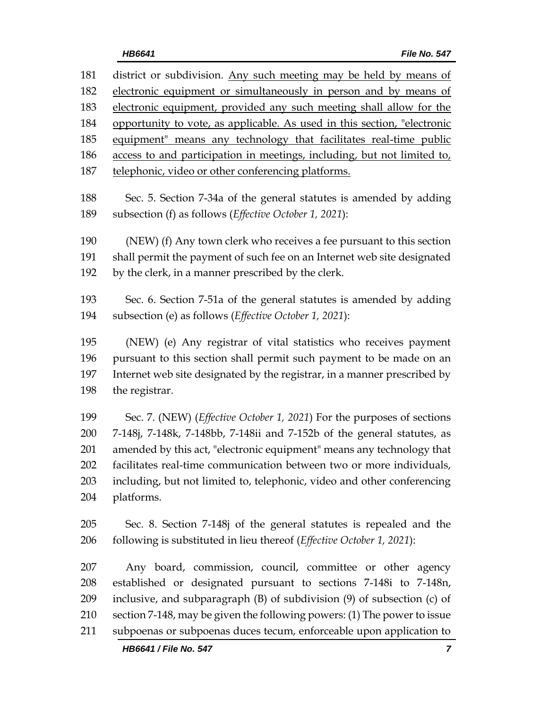| 181 | district or subdivision. Any such meeting may be held by means of        |  |  |  |
|-----|--------------------------------------------------------------------------|--|--|--|
| 182 | electronic equipment or simultaneously in person and by means of         |  |  |  |
| 183 | electronic equipment, provided any such meeting shall allow for the      |  |  |  |
| 184 | opportunity to vote, as applicable. As used in this section, "electronic |  |  |  |
| 185 | equipment" means any technology that facilitates real-time public        |  |  |  |
| 186 | access to and participation in meetings, including, but not limited to,  |  |  |  |
| 187 | telephonic, video or other conferencing platforms.                       |  |  |  |
| 188 | Sec. 5. Section 7-34a of the general statutes is amended by adding       |  |  |  |
| 189 | subsection (f) as follows (Effective October 1, 2021):                   |  |  |  |
| 190 | (NEW) (f) Any town clerk who receives a fee pursuant to this section     |  |  |  |
| 191 | shall permit the payment of such fee on an Internet web site designated  |  |  |  |
| 192 | by the clerk, in a manner prescribed by the clerk.                       |  |  |  |
| 193 | Sec. 6. Section 7-51a of the general statutes is amended by adding       |  |  |  |
| 194 | subsection (e) as follows (Effective October 1, 2021):                   |  |  |  |
| 195 | (NEW) (e) Any registrar of vital statistics who receives payment         |  |  |  |
| 196 | pursuant to this section shall permit such payment to be made on an      |  |  |  |
| 197 | Internet web site designated by the registrar, in a manner prescribed by |  |  |  |
| 198 | the registrar.                                                           |  |  |  |
| 199 | Sec. 7. (NEW) (Effective October 1, 2021) For the purposes of sections   |  |  |  |
| 200 | 7-148j, 7-148k, 7-148bb, 7-148ii and 7-152b of the general statutes, as  |  |  |  |
| 201 | amended by this act, "electronic equipment" means any technology that    |  |  |  |
| 202 | facilitates real-time communication between two or more individuals,     |  |  |  |
| 203 | including, but not limited to, telephonic, video and other conferencing  |  |  |  |
| 204 | platforms.                                                               |  |  |  |
| 205 | Sec. 8. Section 7-148j of the general statutes is repealed and the       |  |  |  |
| 206 | following is substituted in lieu thereof (Effective October 1, 2021):    |  |  |  |
| 207 | Any board, commission, council, committee or other agency                |  |  |  |
| 208 | established or designated pursuant to sections 7-148i to 7-148n,         |  |  |  |
| 209 | inclusive, and subparagraph (B) of subdivision (9) of subsection (c) of  |  |  |  |
| 210 | section 7-148, may be given the following powers: (1) The power to issue |  |  |  |

subpoenas or subpoenas duces tecum, enforceable upon application to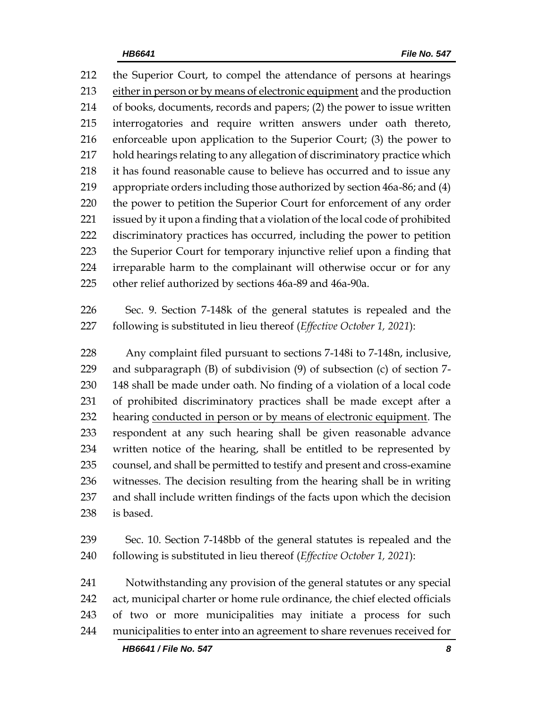the Superior Court, to compel the attendance of persons at hearings either in person or by means of electronic equipment and the production of books, documents, records and papers; (2) the power to issue written interrogatories and require written answers under oath thereto, enforceable upon application to the Superior Court; (3) the power to hold hearings relating to any allegation of discriminatory practice which it has found reasonable cause to believe has occurred and to issue any appropriate orders including those authorized by section 46a-86; and (4) the power to petition the Superior Court for enforcement of any order issued by it upon a finding that a violation of the local code of prohibited discriminatory practices has occurred, including the power to petition the Superior Court for temporary injunctive relief upon a finding that irreparable harm to the complainant will otherwise occur or for any other relief authorized by sections 46a-89 and 46a-90a.

 Sec. 9. Section 7-148k of the general statutes is repealed and the following is substituted in lieu thereof (*Effective October 1, 2021*):

 Any complaint filed pursuant to sections 7-148i to 7-148n, inclusive, and subparagraph (B) of subdivision (9) of subsection (c) of section 7- 148 shall be made under oath. No finding of a violation of a local code of prohibited discriminatory practices shall be made except after a 232 hearing conducted in person or by means of electronic equipment. The respondent at any such hearing shall be given reasonable advance written notice of the hearing, shall be entitled to be represented by counsel, and shall be permitted to testify and present and cross-examine witnesses. The decision resulting from the hearing shall be in writing and shall include written findings of the facts upon which the decision is based.

 Sec. 10. Section 7-148bb of the general statutes is repealed and the following is substituted in lieu thereof (*Effective October 1, 2021*):

 Notwithstanding any provision of the general statutes or any special act, municipal charter or home rule ordinance, the chief elected officials of two or more municipalities may initiate a process for such municipalities to enter into an agreement to share revenues received for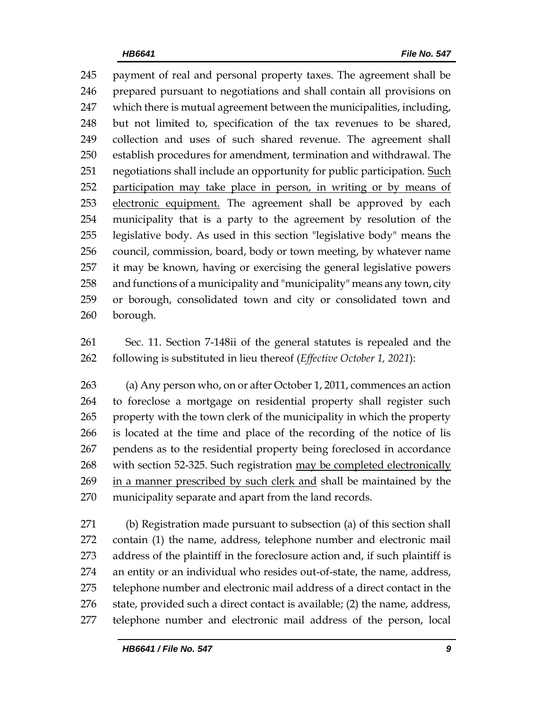payment of real and personal property taxes. The agreement shall be prepared pursuant to negotiations and shall contain all provisions on which there is mutual agreement between the municipalities, including, but not limited to, specification of the tax revenues to be shared, collection and uses of such shared revenue. The agreement shall establish procedures for amendment, termination and withdrawal. The 251 negotiations shall include an opportunity for public participation. Such participation may take place in person, in writing or by means of electronic equipment. The agreement shall be approved by each municipality that is a party to the agreement by resolution of the legislative body. As used in this section "legislative body" means the council, commission, board, body or town meeting, by whatever name it may be known, having or exercising the general legislative powers and functions of a municipality and "municipality" means any town, city or borough, consolidated town and city or consolidated town and borough.

 Sec. 11. Section 7-148ii of the general statutes is repealed and the following is substituted in lieu thereof (*Effective October 1, 2021*):

 (a) Any person who, on or after October 1, 2011, commences an action to foreclose a mortgage on residential property shall register such property with the town clerk of the municipality in which the property is located at the time and place of the recording of the notice of lis pendens as to the residential property being foreclosed in accordance with section 52-325. Such registration may be completed electronically in a manner prescribed by such clerk and shall be maintained by the municipality separate and apart from the land records.

 (b) Registration made pursuant to subsection (a) of this section shall contain (1) the name, address, telephone number and electronic mail address of the plaintiff in the foreclosure action and, if such plaintiff is an entity or an individual who resides out-of-state, the name, address, telephone number and electronic mail address of a direct contact in the state, provided such a direct contact is available; (2) the name, address, telephone number and electronic mail address of the person, local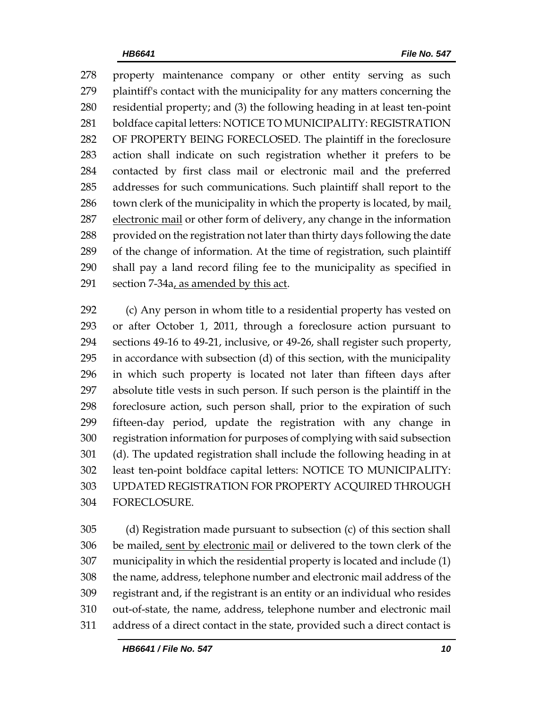property maintenance company or other entity serving as such plaintiff's contact with the municipality for any matters concerning the residential property; and (3) the following heading in at least ten-point boldface capital letters: NOTICE TO MUNICIPALITY: REGISTRATION OF PROPERTY BEING FORECLOSED. The plaintiff in the foreclosure action shall indicate on such registration whether it prefers to be contacted by first class mail or electronic mail and the preferred addresses for such communications. Such plaintiff shall report to the town clerk of the municipality in which the property is located, by mail, 287 electronic mail or other form of delivery, any change in the information 288 provided on the registration not later than thirty days following the date of the change of information. At the time of registration, such plaintiff shall pay a land record filing fee to the municipality as specified in 291 section  $7-34a$ , as amended by this act.

 (c) Any person in whom title to a residential property has vested on or after October 1, 2011, through a foreclosure action pursuant to sections 49-16 to 49-21, inclusive, or 49-26, shall register such property, in accordance with subsection (d) of this section, with the municipality in which such property is located not later than fifteen days after absolute title vests in such person. If such person is the plaintiff in the foreclosure action, such person shall, prior to the expiration of such fifteen-day period, update the registration with any change in registration information for purposes of complying with said subsection (d). The updated registration shall include the following heading in at least ten-point boldface capital letters: NOTICE TO MUNICIPALITY: UPDATED REGISTRATION FOR PROPERTY ACQUIRED THROUGH FORECLOSURE.

 (d) Registration made pursuant to subsection (c) of this section shall 306 be mailed, sent by electronic mail or delivered to the town clerk of the municipality in which the residential property is located and include (1) the name, address, telephone number and electronic mail address of the registrant and, if the registrant is an entity or an individual who resides out-of-state, the name, address, telephone number and electronic mail address of a direct contact in the state, provided such a direct contact is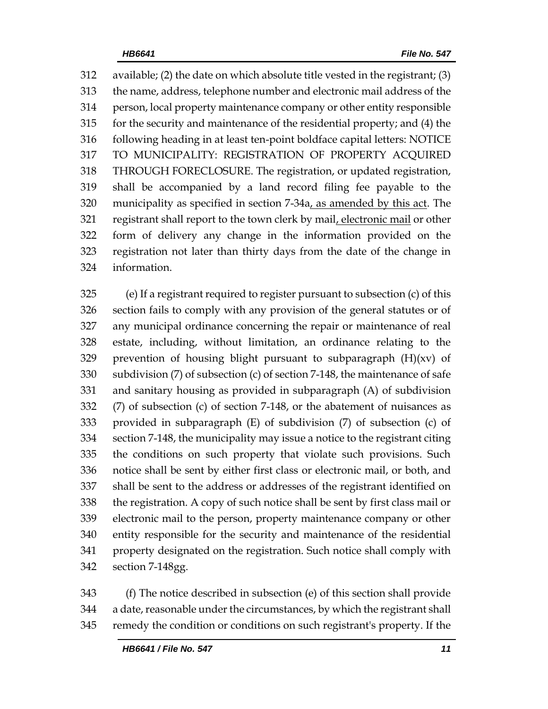available; (2) the date on which absolute title vested in the registrant; (3) the name, address, telephone number and electronic mail address of the person, local property maintenance company or other entity responsible for the security and maintenance of the residential property; and (4) the following heading in at least ten-point boldface capital letters: NOTICE TO MUNICIPALITY: REGISTRATION OF PROPERTY ACQUIRED THROUGH FORECLOSURE. The registration, or updated registration, shall be accompanied by a land record filing fee payable to the municipality as specified in section 7-34a, as amended by this act. The 321 registrant shall report to the town clerk by mail, electronic mail or other form of delivery any change in the information provided on the registration not later than thirty days from the date of the change in information.

 (e) If a registrant required to register pursuant to subsection (c) of this section fails to comply with any provision of the general statutes or of any municipal ordinance concerning the repair or maintenance of real estate, including, without limitation, an ordinance relating to the 329 prevention of housing blight pursuant to subparagraph  $(H)(xv)$  of subdivision (7) of subsection (c) of section 7-148, the maintenance of safe and sanitary housing as provided in subparagraph (A) of subdivision (7) of subsection (c) of section 7-148, or the abatement of nuisances as provided in subparagraph (E) of subdivision (7) of subsection (c) of section 7-148, the municipality may issue a notice to the registrant citing the conditions on such property that violate such provisions. Such notice shall be sent by either first class or electronic mail, or both, and shall be sent to the address or addresses of the registrant identified on the registration. A copy of such notice shall be sent by first class mail or electronic mail to the person, property maintenance company or other entity responsible for the security and maintenance of the residential property designated on the registration. Such notice shall comply with section 7-148gg.

 (f) The notice described in subsection (e) of this section shall provide a date, reasonable under the circumstances, by which the registrant shall remedy the condition or conditions on such registrant's property. If the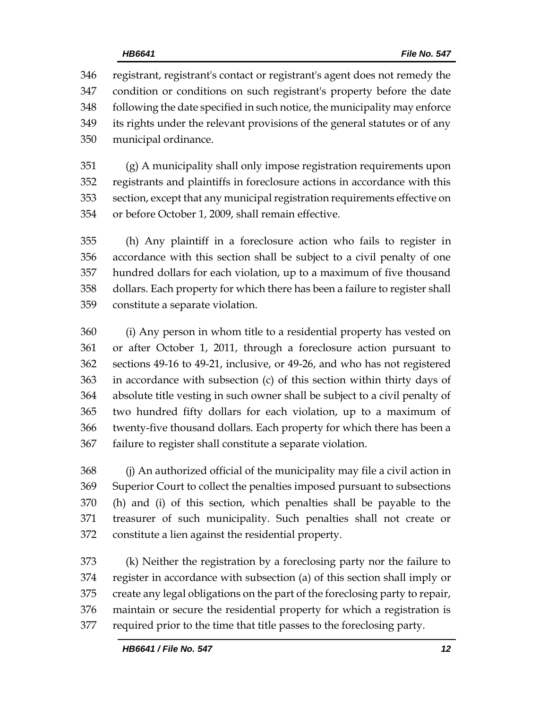registrant, registrant's contact or registrant's agent does not remedy the condition or conditions on such registrant's property before the date following the date specified in such notice, the municipality may enforce its rights under the relevant provisions of the general statutes or of any municipal ordinance.

 (g) A municipality shall only impose registration requirements upon registrants and plaintiffs in foreclosure actions in accordance with this section, except that any municipal registration requirements effective on or before October 1, 2009, shall remain effective.

 (h) Any plaintiff in a foreclosure action who fails to register in accordance with this section shall be subject to a civil penalty of one hundred dollars for each violation, up to a maximum of five thousand dollars. Each property for which there has been a failure to register shall constitute a separate violation.

 (i) Any person in whom title to a residential property has vested on or after October 1, 2011, through a foreclosure action pursuant to sections 49-16 to 49-21, inclusive, or 49-26, and who has not registered in accordance with subsection (c) of this section within thirty days of absolute title vesting in such owner shall be subject to a civil penalty of two hundred fifty dollars for each violation, up to a maximum of twenty-five thousand dollars. Each property for which there has been a failure to register shall constitute a separate violation.

 (j) An authorized official of the municipality may file a civil action in Superior Court to collect the penalties imposed pursuant to subsections (h) and (i) of this section, which penalties shall be payable to the treasurer of such municipality. Such penalties shall not create or constitute a lien against the residential property.

 (k) Neither the registration by a foreclosing party nor the failure to register in accordance with subsection (a) of this section shall imply or create any legal obligations on the part of the foreclosing party to repair, maintain or secure the residential property for which a registration is required prior to the time that title passes to the foreclosing party.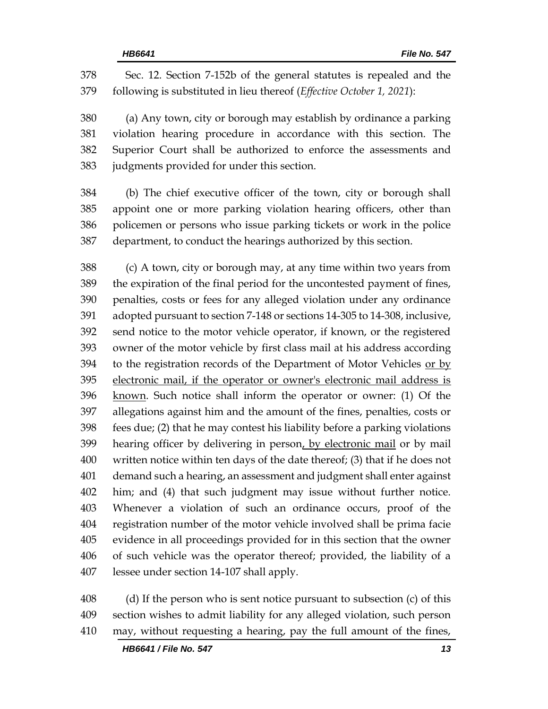Sec. 12. Section 7-152b of the general statutes is repealed and the following is substituted in lieu thereof (*Effective October 1, 2021*):

 (a) Any town, city or borough may establish by ordinance a parking violation hearing procedure in accordance with this section. The Superior Court shall be authorized to enforce the assessments and judgments provided for under this section.

 (b) The chief executive officer of the town, city or borough shall appoint one or more parking violation hearing officers, other than policemen or persons who issue parking tickets or work in the police department, to conduct the hearings authorized by this section.

 (c) A town, city or borough may, at any time within two years from the expiration of the final period for the uncontested payment of fines, penalties, costs or fees for any alleged violation under any ordinance adopted pursuant to section 7-148 or sections 14-305 to 14-308, inclusive, send notice to the motor vehicle operator, if known, or the registered owner of the motor vehicle by first class mail at his address according 394 to the registration records of the Department of Motor Vehicles or by electronic mail, if the operator or owner's electronic mail address is known. Such notice shall inform the operator or owner: (1) Of the allegations against him and the amount of the fines, penalties, costs or fees due; (2) that he may contest his liability before a parking violations 399 hearing officer by delivering in person, by electronic mail or by mail written notice within ten days of the date thereof; (3) that if he does not demand such a hearing, an assessment and judgment shall enter against him; and (4) that such judgment may issue without further notice. Whenever a violation of such an ordinance occurs, proof of the registration number of the motor vehicle involved shall be prima facie evidence in all proceedings provided for in this section that the owner of such vehicle was the operator thereof; provided, the liability of a lessee under section 14-107 shall apply.

 (d) If the person who is sent notice pursuant to subsection (c) of this section wishes to admit liability for any alleged violation, such person may, without requesting a hearing, pay the full amount of the fines,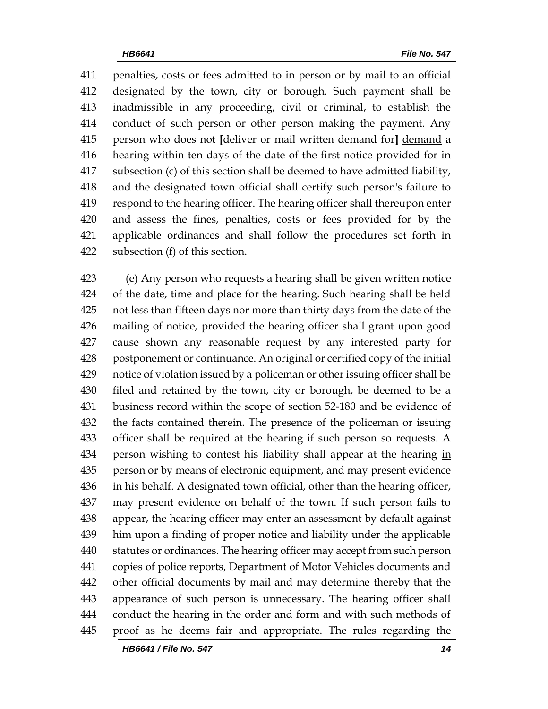penalties, costs or fees admitted to in person or by mail to an official designated by the town, city or borough. Such payment shall be inadmissible in any proceeding, civil or criminal, to establish the conduct of such person or other person making the payment. Any person who does not **[**deliver or mail written demand for**]** demand a hearing within ten days of the date of the first notice provided for in subsection (c) of this section shall be deemed to have admitted liability, and the designated town official shall certify such person's failure to respond to the hearing officer. The hearing officer shall thereupon enter and assess the fines, penalties, costs or fees provided for by the applicable ordinances and shall follow the procedures set forth in subsection (f) of this section.

 (e) Any person who requests a hearing shall be given written notice of the date, time and place for the hearing. Such hearing shall be held not less than fifteen days nor more than thirty days from the date of the mailing of notice, provided the hearing officer shall grant upon good cause shown any reasonable request by any interested party for postponement or continuance. An original or certified copy of the initial notice of violation issued by a policeman or other issuing officer shall be filed and retained by the town, city or borough, be deemed to be a business record within the scope of section 52-180 and be evidence of the facts contained therein. The presence of the policeman or issuing officer shall be required at the hearing if such person so requests. A person wishing to contest his liability shall appear at the hearing in person or by means of electronic equipment, and may present evidence in his behalf. A designated town official, other than the hearing officer, may present evidence on behalf of the town. If such person fails to appear, the hearing officer may enter an assessment by default against him upon a finding of proper notice and liability under the applicable statutes or ordinances. The hearing officer may accept from such person copies of police reports, Department of Motor Vehicles documents and other official documents by mail and may determine thereby that the appearance of such person is unnecessary. The hearing officer shall conduct the hearing in the order and form and with such methods of proof as he deems fair and appropriate. The rules regarding the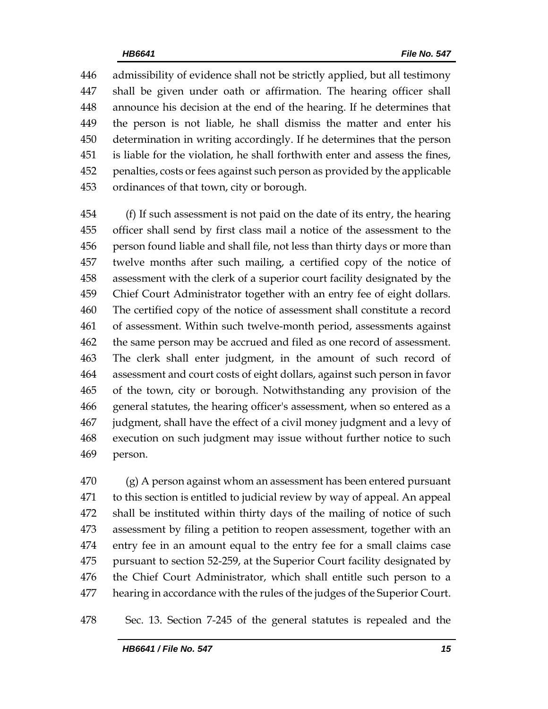admissibility of evidence shall not be strictly applied, but all testimony shall be given under oath or affirmation. The hearing officer shall announce his decision at the end of the hearing. If he determines that the person is not liable, he shall dismiss the matter and enter his determination in writing accordingly. If he determines that the person is liable for the violation, he shall forthwith enter and assess the fines, penalties, costs or fees against such person as provided by the applicable ordinances of that town, city or borough.

 (f) If such assessment is not paid on the date of its entry, the hearing officer shall send by first class mail a notice of the assessment to the person found liable and shall file, not less than thirty days or more than twelve months after such mailing, a certified copy of the notice of assessment with the clerk of a superior court facility designated by the Chief Court Administrator together with an entry fee of eight dollars. The certified copy of the notice of assessment shall constitute a record of assessment. Within such twelve-month period, assessments against the same person may be accrued and filed as one record of assessment. The clerk shall enter judgment, in the amount of such record of assessment and court costs of eight dollars, against such person in favor of the town, city or borough. Notwithstanding any provision of the general statutes, the hearing officer's assessment, when so entered as a judgment, shall have the effect of a civil money judgment and a levy of execution on such judgment may issue without further notice to such person.

 (g) A person against whom an assessment has been entered pursuant to this section is entitled to judicial review by way of appeal. An appeal shall be instituted within thirty days of the mailing of notice of such assessment by filing a petition to reopen assessment, together with an entry fee in an amount equal to the entry fee for a small claims case pursuant to section 52-259, at the Superior Court facility designated by the Chief Court Administrator, which shall entitle such person to a hearing in accordance with the rules of the judges of the Superior Court.

Sec. 13. Section 7-245 of the general statutes is repealed and the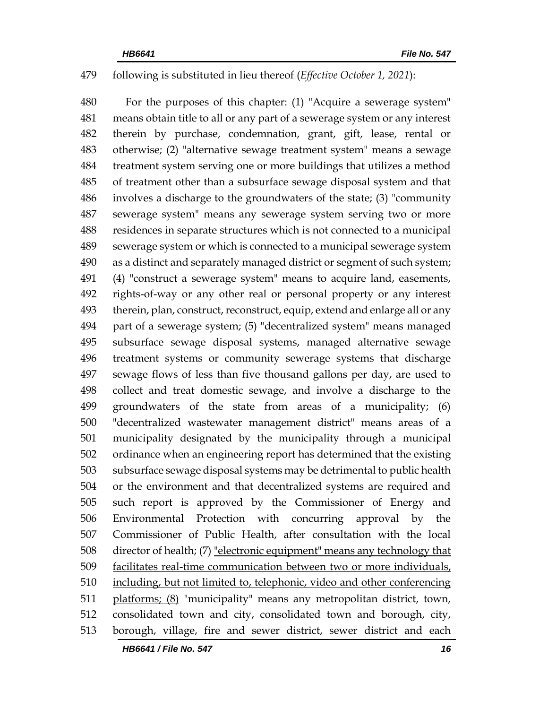### following is substituted in lieu thereof (*Effective October 1, 2021*):

 For the purposes of this chapter: (1) "Acquire a sewerage system" means obtain title to all or any part of a sewerage system or any interest therein by purchase, condemnation, grant, gift, lease, rental or otherwise; (2) "alternative sewage treatment system" means a sewage treatment system serving one or more buildings that utilizes a method of treatment other than a subsurface sewage disposal system and that involves a discharge to the groundwaters of the state; (3) "community sewerage system" means any sewerage system serving two or more residences in separate structures which is not connected to a municipal sewerage system or which is connected to a municipal sewerage system as a distinct and separately managed district or segment of such system; (4) "construct a sewerage system" means to acquire land, easements, rights-of-way or any other real or personal property or any interest therein, plan, construct, reconstruct, equip, extend and enlarge all or any part of a sewerage system; (5) "decentralized system" means managed subsurface sewage disposal systems, managed alternative sewage treatment systems or community sewerage systems that discharge sewage flows of less than five thousand gallons per day, are used to collect and treat domestic sewage, and involve a discharge to the groundwaters of the state from areas of a municipality; (6) "decentralized wastewater management district" means areas of a municipality designated by the municipality through a municipal ordinance when an engineering report has determined that the existing subsurface sewage disposal systems may be detrimental to public health or the environment and that decentralized systems are required and such report is approved by the Commissioner of Energy and Environmental Protection with concurring approval by the Commissioner of Public Health, after consultation with the local 508 director of health; (7) "electronic equipment" means any technology that facilitates real-time communication between two or more individuals, including, but not limited to, telephonic, video and other conferencing platforms; (8) "municipality" means any metropolitan district, town, consolidated town and city, consolidated town and borough, city, borough, village, fire and sewer district, sewer district and each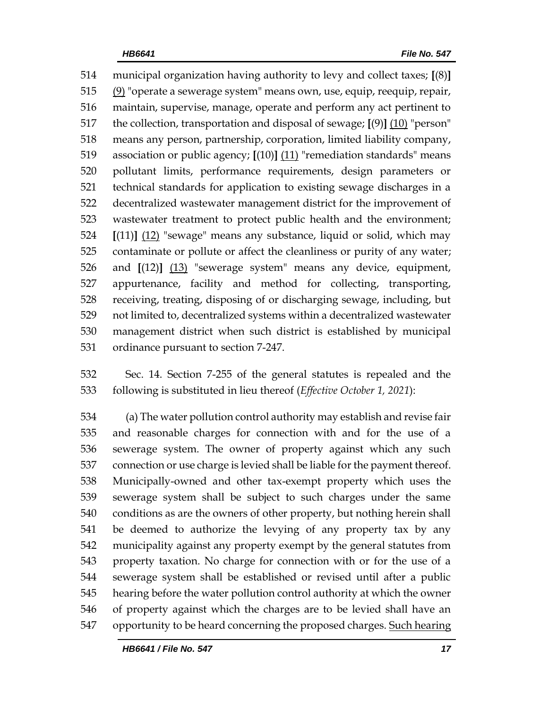municipal organization having authority to levy and collect taxes; **[**(8)**]** (9) "operate a sewerage system" means own, use, equip, reequip, repair, maintain, supervise, manage, operate and perform any act pertinent to the collection, transportation and disposal of sewage; **[**(9)**]** (10) "person" means any person, partnership, corporation, limited liability company, association or public agency; **[**(10)**]** (11) "remediation standards" means pollutant limits, performance requirements, design parameters or technical standards for application to existing sewage discharges in a decentralized wastewater management district for the improvement of wastewater treatment to protect public health and the environment; **[**(11)**]** (12) "sewage" means any substance, liquid or solid, which may contaminate or pollute or affect the cleanliness or purity of any water; and **[**(12)**]** (13) "sewerage system" means any device, equipment, appurtenance, facility and method for collecting, transporting, receiving, treating, disposing of or discharging sewage, including, but not limited to, decentralized systems within a decentralized wastewater management district when such district is established by municipal ordinance pursuant to section 7-247.

 Sec. 14. Section 7-255 of the general statutes is repealed and the following is substituted in lieu thereof (*Effective October 1, 2021*):

 (a) The water pollution control authority may establish and revise fair and reasonable charges for connection with and for the use of a sewerage system. The owner of property against which any such connection or use charge is levied shall be liable for the payment thereof. Municipally-owned and other tax-exempt property which uses the sewerage system shall be subject to such charges under the same conditions as are the owners of other property, but nothing herein shall be deemed to authorize the levying of any property tax by any municipality against any property exempt by the general statutes from property taxation. No charge for connection with or for the use of a sewerage system shall be established or revised until after a public hearing before the water pollution control authority at which the owner of property against which the charges are to be levied shall have an opportunity to be heard concerning the proposed charges. Such hearing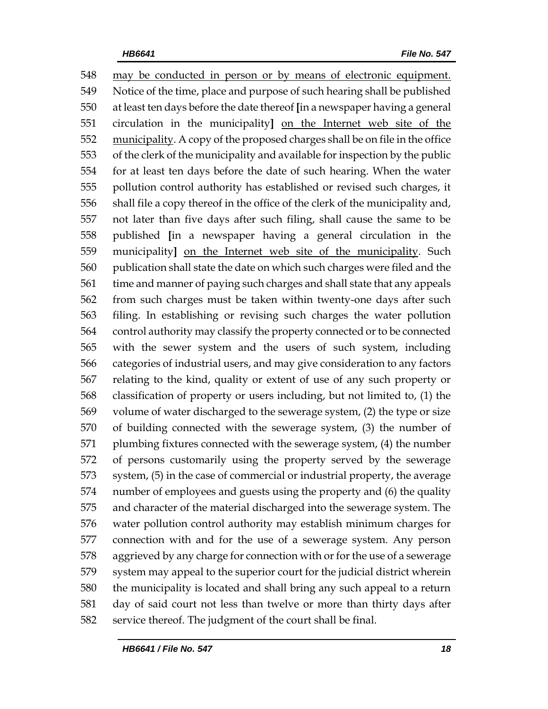may be conducted in person or by means of electronic equipment. Notice of the time, place and purpose of such hearing shall be published at least ten days before the date thereof **[**in a newspaper having a general circulation in the municipality**]** on the Internet web site of the 552 municipality. A copy of the proposed charges shall be on file in the office of the clerk of the municipality and available for inspection by the public for at least ten days before the date of such hearing. When the water pollution control authority has established or revised such charges, it shall file a copy thereof in the office of the clerk of the municipality and, not later than five days after such filing, shall cause the same to be published **[**in a newspaper having a general circulation in the municipality**]** on the Internet web site of the municipality. Such publication shall state the date on which such charges were filed and the time and manner of paying such charges and shall state that any appeals from such charges must be taken within twenty-one days after such filing. In establishing or revising such charges the water pollution control authority may classify the property connected or to be connected with the sewer system and the users of such system, including categories of industrial users, and may give consideration to any factors relating to the kind, quality or extent of use of any such property or classification of property or users including, but not limited to, (1) the volume of water discharged to the sewerage system, (2) the type or size of building connected with the sewerage system, (3) the number of plumbing fixtures connected with the sewerage system, (4) the number of persons customarily using the property served by the sewerage system, (5) in the case of commercial or industrial property, the average number of employees and guests using the property and (6) the quality and character of the material discharged into the sewerage system. The water pollution control authority may establish minimum charges for connection with and for the use of a sewerage system. Any person aggrieved by any charge for connection with or for the use of a sewerage system may appeal to the superior court for the judicial district wherein the municipality is located and shall bring any such appeal to a return day of said court not less than twelve or more than thirty days after service thereof. The judgment of the court shall be final.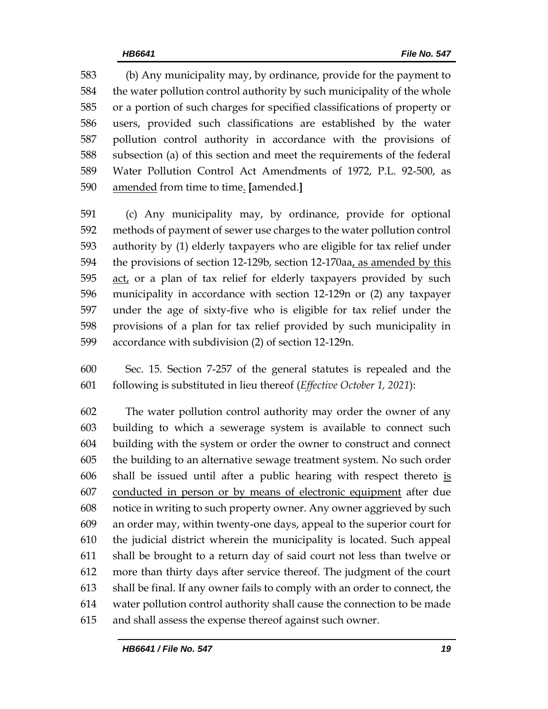(b) Any municipality may, by ordinance, provide for the payment to the water pollution control authority by such municipality of the whole or a portion of such charges for specified classifications of property or users, provided such classifications are established by the water pollution control authority in accordance with the provisions of subsection (a) of this section and meet the requirements of the federal Water Pollution Control Act Amendments of 1972, P.L. 92-500, as amended from time to time. **[**amended.**]**

 (c) Any municipality may, by ordinance, provide for optional methods of payment of sewer use charges to the water pollution control authority by (1) elderly taxpayers who are eligible for tax relief under the provisions of section 12-129b, section 12-170aa, as amended by this 595 act, or a plan of tax relief for elderly taxpayers provided by such municipality in accordance with section 12-129n or (2) any taxpayer under the age of sixty-five who is eligible for tax relief under the provisions of a plan for tax relief provided by such municipality in accordance with subdivision (2) of section 12-129n.

 Sec. 15. Section 7-257 of the general statutes is repealed and the following is substituted in lieu thereof (*Effective October 1, 2021*):

 The water pollution control authority may order the owner of any building to which a sewerage system is available to connect such building with the system or order the owner to construct and connect the building to an alternative sewage treatment system. No such order shall be issued until after a public hearing with respect thereto is conducted in person or by means of electronic equipment after due notice in writing to such property owner. Any owner aggrieved by such an order may, within twenty-one days, appeal to the superior court for the judicial district wherein the municipality is located. Such appeal shall be brought to a return day of said court not less than twelve or more than thirty days after service thereof. The judgment of the court shall be final. If any owner fails to comply with an order to connect, the water pollution control authority shall cause the connection to be made and shall assess the expense thereof against such owner.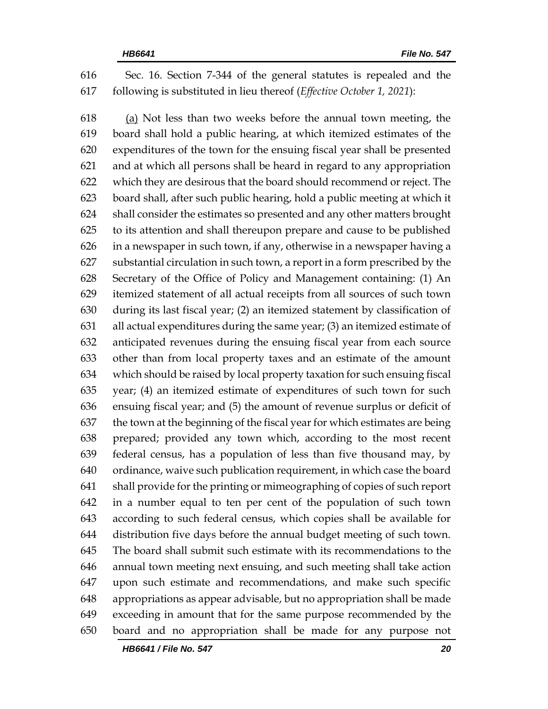Sec. 16. Section 7-344 of the general statutes is repealed and the following is substituted in lieu thereof (*Effective October 1, 2021*):

 (a) Not less than two weeks before the annual town meeting, the board shall hold a public hearing, at which itemized estimates of the expenditures of the town for the ensuing fiscal year shall be presented and at which all persons shall be heard in regard to any appropriation which they are desirous that the board should recommend or reject. The board shall, after such public hearing, hold a public meeting at which it shall consider the estimates so presented and any other matters brought to its attention and shall thereupon prepare and cause to be published in a newspaper in such town, if any, otherwise in a newspaper having a substantial circulation in such town, a report in a form prescribed by the Secretary of the Office of Policy and Management containing: (1) An itemized statement of all actual receipts from all sources of such town during its last fiscal year; (2) an itemized statement by classification of all actual expenditures during the same year; (3) an itemized estimate of anticipated revenues during the ensuing fiscal year from each source other than from local property taxes and an estimate of the amount which should be raised by local property taxation for such ensuing fiscal year; (4) an itemized estimate of expenditures of such town for such ensuing fiscal year; and (5) the amount of revenue surplus or deficit of the town at the beginning of the fiscal year for which estimates are being prepared; provided any town which, according to the most recent federal census, has a population of less than five thousand may, by ordinance, waive such publication requirement, in which case the board shall provide for the printing or mimeographing of copies of such report in a number equal to ten per cent of the population of such town according to such federal census, which copies shall be available for distribution five days before the annual budget meeting of such town. The board shall submit such estimate with its recommendations to the annual town meeting next ensuing, and such meeting shall take action upon such estimate and recommendations, and make such specific appropriations as appear advisable, but no appropriation shall be made exceeding in amount that for the same purpose recommended by the board and no appropriation shall be made for any purpose not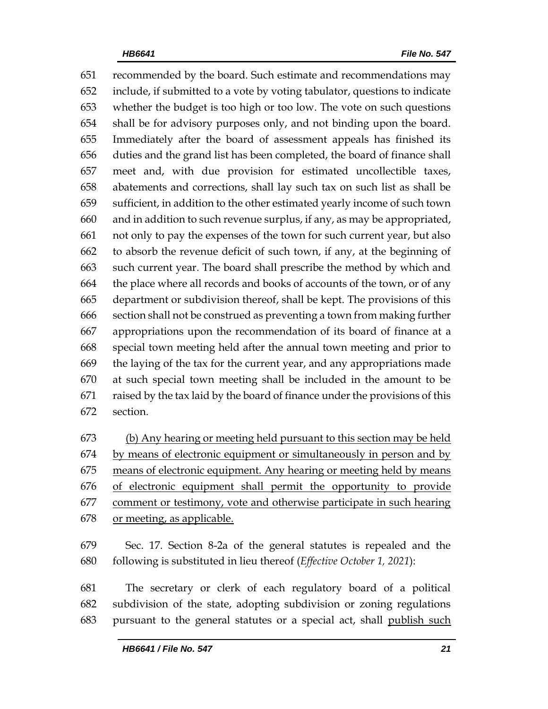recommended by the board. Such estimate and recommendations may include, if submitted to a vote by voting tabulator, questions to indicate whether the budget is too high or too low. The vote on such questions shall be for advisory purposes only, and not binding upon the board. Immediately after the board of assessment appeals has finished its duties and the grand list has been completed, the board of finance shall meet and, with due provision for estimated uncollectible taxes, abatements and corrections, shall lay such tax on such list as shall be sufficient, in addition to the other estimated yearly income of such town and in addition to such revenue surplus, if any, as may be appropriated, not only to pay the expenses of the town for such current year, but also to absorb the revenue deficit of such town, if any, at the beginning of such current year. The board shall prescribe the method by which and the place where all records and books of accounts of the town, or of any department or subdivision thereof, shall be kept. The provisions of this section shall not be construed as preventing a town from making further appropriations upon the recommendation of its board of finance at a special town meeting held after the annual town meeting and prior to the laying of the tax for the current year, and any appropriations made at such special town meeting shall be included in the amount to be raised by the tax laid by the board of finance under the provisions of this section.

 (b) Any hearing or meeting held pursuant to this section may be held by means of electronic equipment or simultaneously in person and by means of electronic equipment. Any hearing or meeting held by means of electronic equipment shall permit the opportunity to provide 677 comment or testimony, vote and otherwise participate in such hearing or meeting, as applicable.

 Sec. 17. Section 8-2a of the general statutes is repealed and the following is substituted in lieu thereof (*Effective October 1, 2021*):

 The secretary or clerk of each regulatory board of a political subdivision of the state, adopting subdivision or zoning regulations pursuant to the general statutes or a special act, shall publish such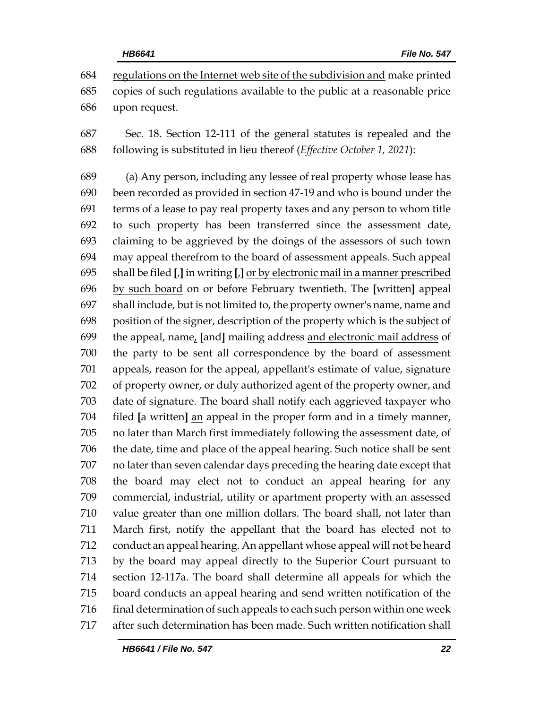regulations on the Internet web site of the subdivision and make printed copies of such regulations available to the public at a reasonable price upon request.

 Sec. 18. Section 12-111 of the general statutes is repealed and the following is substituted in lieu thereof (*Effective October 1, 2021*):

 (a) Any person, including any lessee of real property whose lease has been recorded as provided in section 47-19 and who is bound under the terms of a lease to pay real property taxes and any person to whom title to such property has been transferred since the assessment date, claiming to be aggrieved by the doings of the assessors of such town may appeal therefrom to the board of assessment appeals. Such appeal shall be filed **[**,**]** in writing **[**,**]** or by electronic mail in a manner prescribed by such board on or before February twentieth. The **[**written**]** appeal shall include, but is not limited to, the property owner's name, name and position of the signer, description of the property which is the subject of the appeal, name, **[**and**]** mailing address and electronic mail address of the party to be sent all correspondence by the board of assessment appeals, reason for the appeal, appellant's estimate of value, signature of property owner, or duly authorized agent of the property owner, and date of signature. The board shall notify each aggrieved taxpayer who filed **[**a written**]** an appeal in the proper form and in a timely manner, no later than March first immediately following the assessment date, of the date, time and place of the appeal hearing. Such notice shall be sent no later than seven calendar days preceding the hearing date except that the board may elect not to conduct an appeal hearing for any commercial, industrial, utility or apartment property with an assessed value greater than one million dollars. The board shall, not later than March first, notify the appellant that the board has elected not to conduct an appeal hearing. An appellant whose appeal will not be heard by the board may appeal directly to the Superior Court pursuant to section 12-117a. The board shall determine all appeals for which the board conducts an appeal hearing and send written notification of the 716 final determination of such appeals to each such person within one week after such determination has been made. Such written notification shall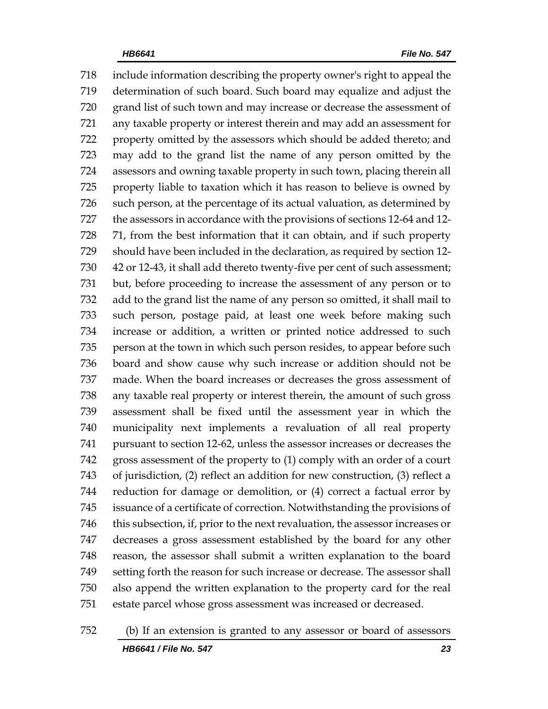include information describing the property owner's right to appeal the determination of such board. Such board may equalize and adjust the grand list of such town and may increase or decrease the assessment of any taxable property or interest therein and may add an assessment for property omitted by the assessors which should be added thereto; and may add to the grand list the name of any person omitted by the assessors and owning taxable property in such town, placing therein all property liable to taxation which it has reason to believe is owned by such person, at the percentage of its actual valuation, as determined by the assessors in accordance with the provisions of sections 12-64 and 12- 71, from the best information that it can obtain, and if such property should have been included in the declaration, as required by section 12- 42 or 12-43, it shall add thereto twenty-five per cent of such assessment; but, before proceeding to increase the assessment of any person or to add to the grand list the name of any person so omitted, it shall mail to such person, postage paid, at least one week before making such increase or addition, a written or printed notice addressed to such person at the town in which such person resides, to appear before such board and show cause why such increase or addition should not be made. When the board increases or decreases the gross assessment of any taxable real property or interest therein, the amount of such gross assessment shall be fixed until the assessment year in which the municipality next implements a revaluation of all real property pursuant to section 12-62, unless the assessor increases or decreases the gross assessment of the property to (1) comply with an order of a court of jurisdiction, (2) reflect an addition for new construction, (3) reflect a reduction for damage or demolition, or (4) correct a factual error by issuance of a certificate of correction. Notwithstanding the provisions of this subsection, if, prior to the next revaluation, the assessor increases or decreases a gross assessment established by the board for any other reason, the assessor shall submit a written explanation to the board setting forth the reason for such increase or decrease. The assessor shall also append the written explanation to the property card for the real estate parcel whose gross assessment was increased or decreased.

*HB6641 / File No. 547 23* (b) If an extension is granted to any assessor or board of assessors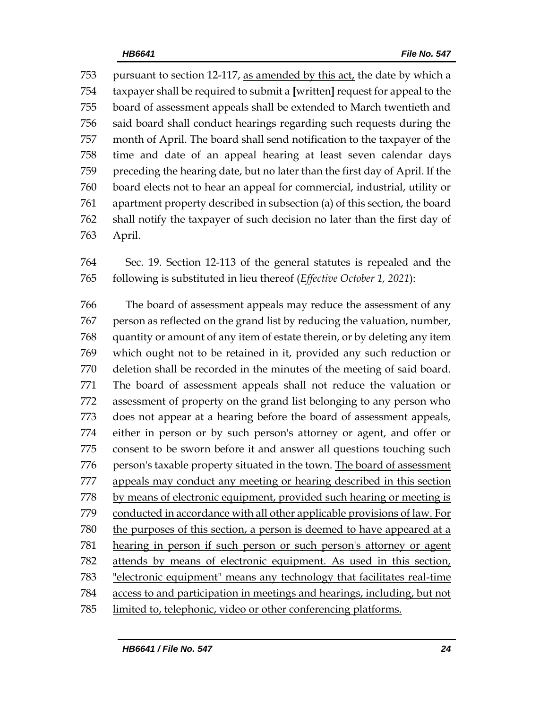pursuant to section 12-117, as amended by this act, the date by which a taxpayer shall be required to submit a **[**written**]** request for appeal to the board of assessment appeals shall be extended to March twentieth and said board shall conduct hearings regarding such requests during the month of April. The board shall send notification to the taxpayer of the time and date of an appeal hearing at least seven calendar days preceding the hearing date, but no later than the first day of April. If the board elects not to hear an appeal for commercial, industrial, utility or apartment property described in subsection (a) of this section, the board shall notify the taxpayer of such decision no later than the first day of April.

 Sec. 19. Section 12-113 of the general statutes is repealed and the following is substituted in lieu thereof (*Effective October 1, 2021*):

 The board of assessment appeals may reduce the assessment of any person as reflected on the grand list by reducing the valuation, number, quantity or amount of any item of estate therein, or by deleting any item which ought not to be retained in it, provided any such reduction or deletion shall be recorded in the minutes of the meeting of said board. The board of assessment appeals shall not reduce the valuation or assessment of property on the grand list belonging to any person who does not appear at a hearing before the board of assessment appeals, either in person or by such person's attorney or agent, and offer or consent to be sworn before it and answer all questions touching such person's taxable property situated in the town. The board of assessment appeals may conduct any meeting or hearing described in this section by means of electronic equipment, provided such hearing or meeting is conducted in accordance with all other applicable provisions of law. For 780 the purposes of this section, a person is deemed to have appeared at a hearing in person if such person or such person's attorney or agent attends by means of electronic equipment. As used in this section, "electronic equipment" means any technology that facilitates real-time access to and participation in meetings and hearings, including, but not limited to, telephonic, video or other conferencing platforms.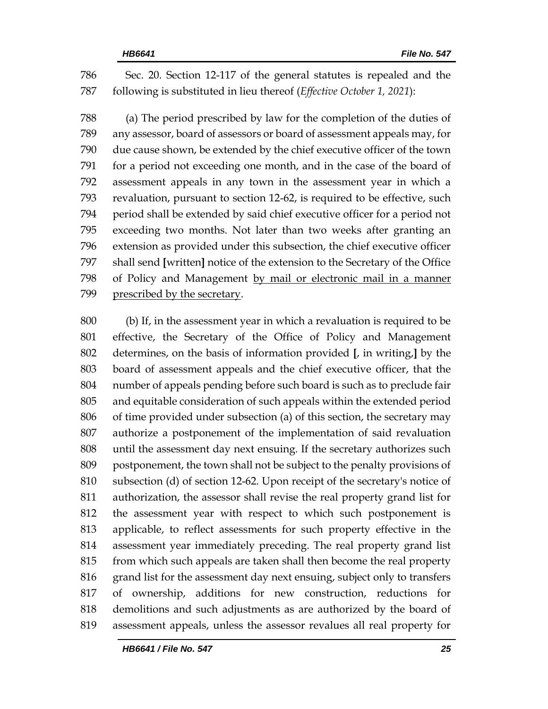Sec. 20. Section 12-117 of the general statutes is repealed and the following is substituted in lieu thereof (*Effective October 1, 2021*):

 (a) The period prescribed by law for the completion of the duties of any assessor, board of assessors or board of assessment appeals may, for due cause shown, be extended by the chief executive officer of the town for a period not exceeding one month, and in the case of the board of assessment appeals in any town in the assessment year in which a revaluation, pursuant to section 12-62, is required to be effective, such period shall be extended by said chief executive officer for a period not exceeding two months. Not later than two weeks after granting an extension as provided under this subsection, the chief executive officer shall send **[**written**]** notice of the extension to the Secretary of the Office of Policy and Management by mail or electronic mail in a manner prescribed by the secretary.

 (b) If, in the assessment year in which a revaluation is required to be effective, the Secretary of the Office of Policy and Management determines, on the basis of information provided **[**, in writing,**]** by the board of assessment appeals and the chief executive officer, that the number of appeals pending before such board is such as to preclude fair and equitable consideration of such appeals within the extended period of time provided under subsection (a) of this section, the secretary may authorize a postponement of the implementation of said revaluation until the assessment day next ensuing. If the secretary authorizes such postponement, the town shall not be subject to the penalty provisions of subsection (d) of section 12-62. Upon receipt of the secretary's notice of authorization, the assessor shall revise the real property grand list for the assessment year with respect to which such postponement is applicable, to reflect assessments for such property effective in the assessment year immediately preceding. The real property grand list from which such appeals are taken shall then become the real property grand list for the assessment day next ensuing, subject only to transfers of ownership, additions for new construction, reductions for demolitions and such adjustments as are authorized by the board of assessment appeals, unless the assessor revalues all real property for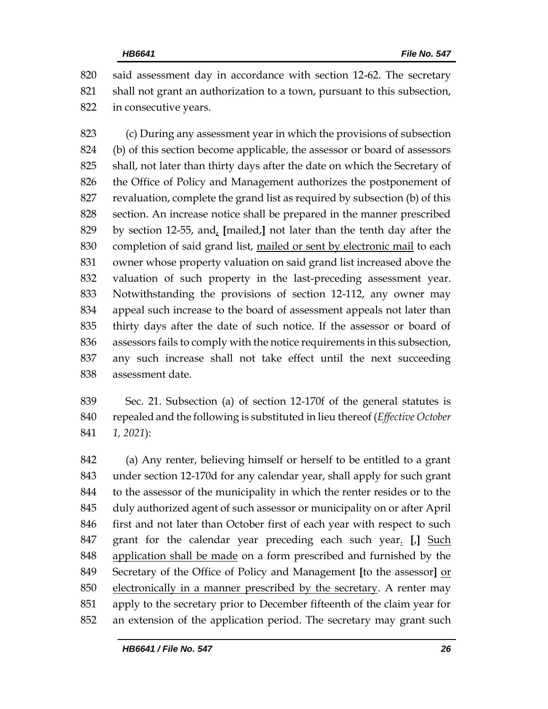said assessment day in accordance with section 12-62. The secretary shall not grant an authorization to a town, pursuant to this subsection, in consecutive years.

 (c) During any assessment year in which the provisions of subsection (b) of this section become applicable, the assessor or board of assessors shall, not later than thirty days after the date on which the Secretary of the Office of Policy and Management authorizes the postponement of revaluation, complete the grand list as required by subsection (b) of this section. An increase notice shall be prepared in the manner prescribed by section 12-55, and, **[**mailed,**]** not later than the tenth day after the completion of said grand list, mailed or sent by electronic mail to each owner whose property valuation on said grand list increased above the valuation of such property in the last-preceding assessment year. Notwithstanding the provisions of section 12-112, any owner may appeal such increase to the board of assessment appeals not later than thirty days after the date of such notice. If the assessor or board of assessors fails to comply with the notice requirements in this subsection, any such increase shall not take effect until the next succeeding assessment date.

 Sec. 21. Subsection (a) of section 12-170f of the general statutes is repealed and the following is substituted in lieu thereof (*Effective October 1, 2021*):

 (a) Any renter, believing himself or herself to be entitled to a grant under section 12-170d for any calendar year, shall apply for such grant to the assessor of the municipality in which the renter resides or to the duly authorized agent of such assessor or municipality on or after April 846 first and not later than October first of each year with respect to such grant for the calendar year preceding each such year. **[**,**]** Such application shall be made on a form prescribed and furnished by the Secretary of the Office of Policy and Management **[**to the assessor**]** or 850 electronically in a manner prescribed by the secretary. A renter may apply to the secretary prior to December fifteenth of the claim year for an extension of the application period. The secretary may grant such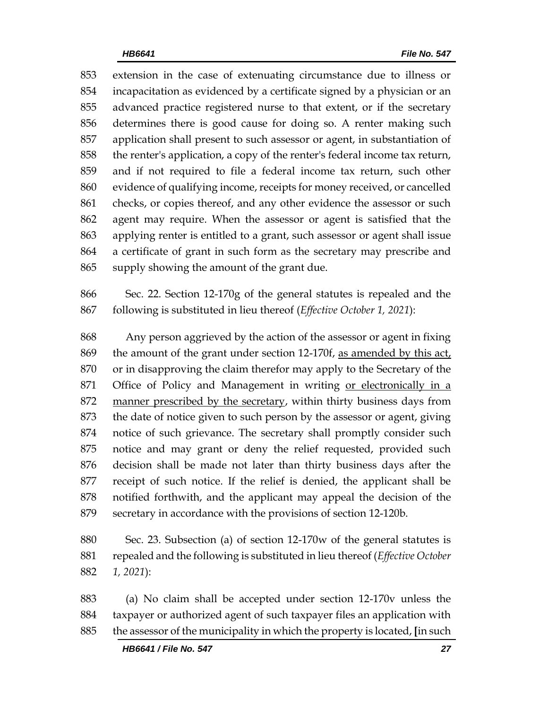extension in the case of extenuating circumstance due to illness or incapacitation as evidenced by a certificate signed by a physician or an advanced practice registered nurse to that extent, or if the secretary determines there is good cause for doing so. A renter making such application shall present to such assessor or agent, in substantiation of the renter's application, a copy of the renter's federal income tax return, and if not required to file a federal income tax return, such other evidence of qualifying income, receipts for money received, or cancelled checks, or copies thereof, and any other evidence the assessor or such agent may require. When the assessor or agent is satisfied that the applying renter is entitled to a grant, such assessor or agent shall issue a certificate of grant in such form as the secretary may prescribe and supply showing the amount of the grant due.

 Sec. 22. Section 12-170g of the general statutes is repealed and the following is substituted in lieu thereof (*Effective October 1, 2021*):

 Any person aggrieved by the action of the assessor or agent in fixing the amount of the grant under section 12-170f, as amended by this act, or in disapproving the claim therefor may apply to the Secretary of the Office of Policy and Management in writing or electronically in a manner prescribed by the secretary, within thirty business days from the date of notice given to such person by the assessor or agent, giving notice of such grievance. The secretary shall promptly consider such notice and may grant or deny the relief requested, provided such decision shall be made not later than thirty business days after the receipt of such notice. If the relief is denied, the applicant shall be notified forthwith, and the applicant may appeal the decision of the secretary in accordance with the provisions of section 12-120b.

 Sec. 23. Subsection (a) of section 12-170w of the general statutes is repealed and the following is substituted in lieu thereof (*Effective October 1, 2021*):

 (a) No claim shall be accepted under section 12-170v unless the taxpayer or authorized agent of such taxpayer files an application with the assessor of the municipality in which the property is located, **[**in such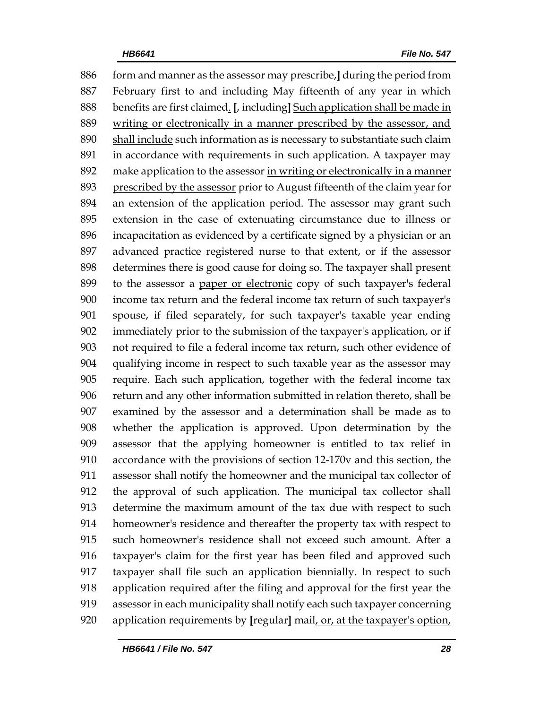form and manner as the assessor may prescribe,**]** during the period from February first to and including May fifteenth of any year in which benefits are first claimed. **[**, including**]** Such application shall be made in writing or electronically in a manner prescribed by the assessor, and 890 shall include such information as is necessary to substantiate such claim in accordance with requirements in such application. A taxpayer may make application to the assessor in writing or electronically in a manner prescribed by the assessor prior to August fifteenth of the claim year for an extension of the application period. The assessor may grant such extension in the case of extenuating circumstance due to illness or incapacitation as evidenced by a certificate signed by a physician or an advanced practice registered nurse to that extent, or if the assessor determines there is good cause for doing so. The taxpayer shall present 899 to the assessor a paper or electronic copy of such taxpayer's federal income tax return and the federal income tax return of such taxpayer's spouse, if filed separately, for such taxpayer's taxable year ending immediately prior to the submission of the taxpayer's application, or if not required to file a federal income tax return, such other evidence of qualifying income in respect to such taxable year as the assessor may require. Each such application, together with the federal income tax return and any other information submitted in relation thereto, shall be examined by the assessor and a determination shall be made as to whether the application is approved. Upon determination by the assessor that the applying homeowner is entitled to tax relief in accordance with the provisions of section 12-170v and this section, the assessor shall notify the homeowner and the municipal tax collector of the approval of such application. The municipal tax collector shall determine the maximum amount of the tax due with respect to such homeowner's residence and thereafter the property tax with respect to such homeowner's residence shall not exceed such amount. After a taxpayer's claim for the first year has been filed and approved such taxpayer shall file such an application biennially. In respect to such application required after the filing and approval for the first year the assessor in each municipality shall notify each such taxpayer concerning application requirements by **[**regular**]** mail, or, at the taxpayer's option,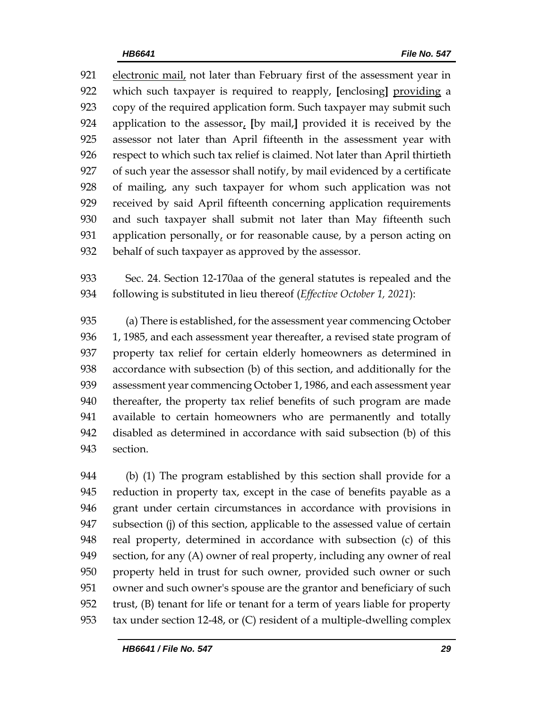electronic mail, not later than February first of the assessment year in which such taxpayer is required to reapply, **[**enclosing**]** providing a copy of the required application form. Such taxpayer may submit such application to the assessor, **[**by mail,**]** provided it is received by the assessor not later than April fifteenth in the assessment year with respect to which such tax relief is claimed. Not later than April thirtieth of such year the assessor shall notify, by mail evidenced by a certificate of mailing, any such taxpayer for whom such application was not received by said April fifteenth concerning application requirements and such taxpayer shall submit not later than May fifteenth such 931 application personally, or for reasonable cause, by a person acting on behalf of such taxpayer as approved by the assessor.

 Sec. 24. Section 12-170aa of the general statutes is repealed and the following is substituted in lieu thereof (*Effective October 1, 2021*):

 (a) There is established, for the assessment year commencing October 936 1, 1985, and each assessment year thereafter, a revised state program of property tax relief for certain elderly homeowners as determined in accordance with subsection (b) of this section, and additionally for the assessment year commencing October 1, 1986, and each assessment year thereafter, the property tax relief benefits of such program are made available to certain homeowners who are permanently and totally disabled as determined in accordance with said subsection (b) of this section.

 (b) (1) The program established by this section shall provide for a reduction in property tax, except in the case of benefits payable as a grant under certain circumstances in accordance with provisions in subsection (j) of this section, applicable to the assessed value of certain real property, determined in accordance with subsection (c) of this section, for any (A) owner of real property, including any owner of real property held in trust for such owner, provided such owner or such owner and such owner's spouse are the grantor and beneficiary of such trust, (B) tenant for life or tenant for a term of years liable for property tax under section 12-48, or (C) resident of a multiple-dwelling complex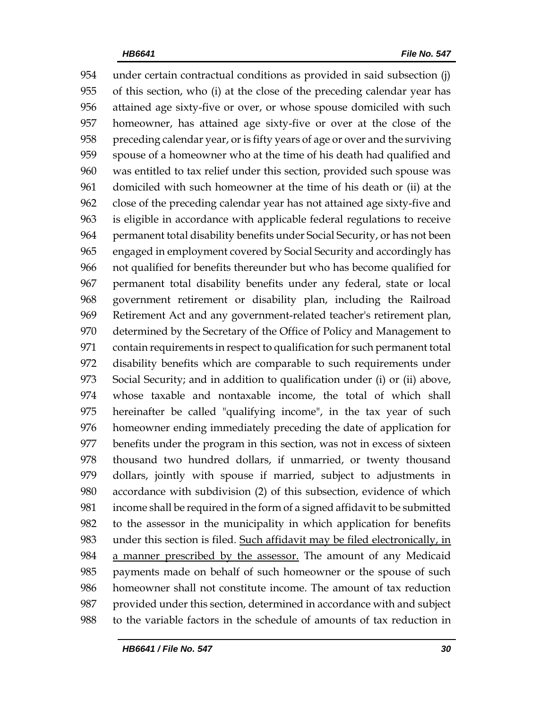under certain contractual conditions as provided in said subsection (j) of this section, who (i) at the close of the preceding calendar year has attained age sixty-five or over, or whose spouse domiciled with such homeowner, has attained age sixty-five or over at the close of the preceding calendar year, or is fifty years of age or over and the surviving spouse of a homeowner who at the time of his death had qualified and was entitled to tax relief under this section, provided such spouse was domiciled with such homeowner at the time of his death or (ii) at the close of the preceding calendar year has not attained age sixty-five and is eligible in accordance with applicable federal regulations to receive permanent total disability benefits under Social Security, or has not been engaged in employment covered by Social Security and accordingly has not qualified for benefits thereunder but who has become qualified for permanent total disability benefits under any federal, state or local government retirement or disability plan, including the Railroad Retirement Act and any government-related teacher's retirement plan, determined by the Secretary of the Office of Policy and Management to contain requirements in respect to qualification for such permanent total disability benefits which are comparable to such requirements under Social Security; and in addition to qualification under (i) or (ii) above, whose taxable and nontaxable income, the total of which shall hereinafter be called "qualifying income", in the tax year of such homeowner ending immediately preceding the date of application for benefits under the program in this section, was not in excess of sixteen thousand two hundred dollars, if unmarried, or twenty thousand dollars, jointly with spouse if married, subject to adjustments in accordance with subdivision (2) of this subsection, evidence of which income shall be required in the form of a signed affidavit to be submitted to the assessor in the municipality in which application for benefits under this section is filed. Such affidavit may be filed electronically, in 984 a manner prescribed by the assessor. The amount of any Medicaid payments made on behalf of such homeowner or the spouse of such homeowner shall not constitute income. The amount of tax reduction provided under this section, determined in accordance with and subject to the variable factors in the schedule of amounts of tax reduction in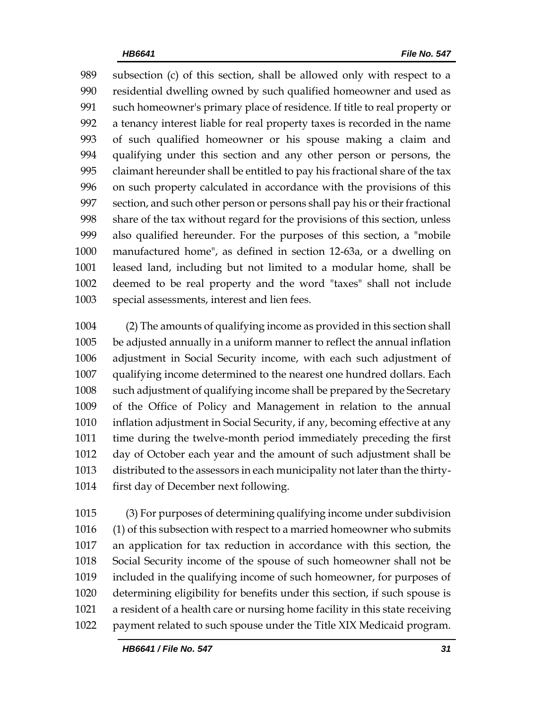subsection (c) of this section, shall be allowed only with respect to a residential dwelling owned by such qualified homeowner and used as such homeowner's primary place of residence. If title to real property or a tenancy interest liable for real property taxes is recorded in the name of such qualified homeowner or his spouse making a claim and qualifying under this section and any other person or persons, the claimant hereunder shall be entitled to pay his fractional share of the tax on such property calculated in accordance with the provisions of this section, and such other person or persons shall pay his or their fractional share of the tax without regard for the provisions of this section, unless also qualified hereunder. For the purposes of this section, a "mobile manufactured home", as defined in section 12-63a, or a dwelling on leased land, including but not limited to a modular home, shall be deemed to be real property and the word "taxes" shall not include special assessments, interest and lien fees.

 (2) The amounts of qualifying income as provided in this section shall be adjusted annually in a uniform manner to reflect the annual inflation adjustment in Social Security income, with each such adjustment of qualifying income determined to the nearest one hundred dollars. Each such adjustment of qualifying income shall be prepared by the Secretary of the Office of Policy and Management in relation to the annual inflation adjustment in Social Security, if any, becoming effective at any time during the twelve-month period immediately preceding the first day of October each year and the amount of such adjustment shall be distributed to the assessors in each municipality not later than the thirty-first day of December next following.

 (3) For purposes of determining qualifying income under subdivision (1) of this subsection with respect to a married homeowner who submits an application for tax reduction in accordance with this section, the Social Security income of the spouse of such homeowner shall not be included in the qualifying income of such homeowner, for purposes of determining eligibility for benefits under this section, if such spouse is a resident of a health care or nursing home facility in this state receiving payment related to such spouse under the Title XIX Medicaid program.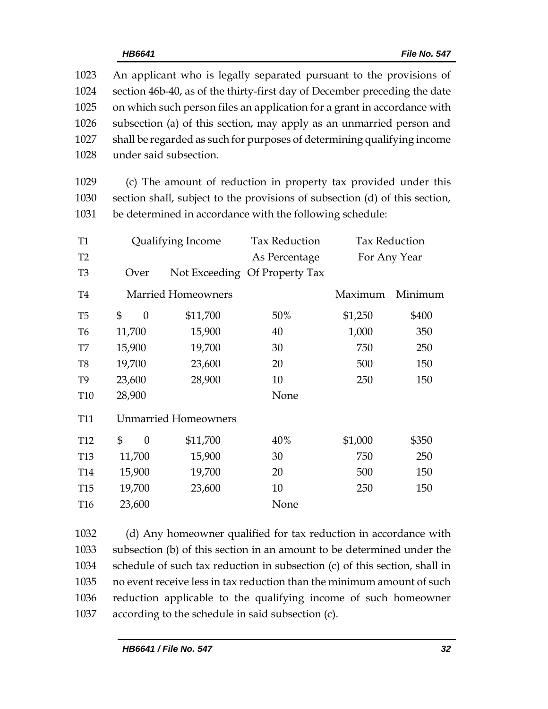| 1023 | An applicant who is legally separated pursuant to the provisions of       |
|------|---------------------------------------------------------------------------|
| 1024 | section 46b-40, as of the thirty-first day of December preceding the date |
| 1025 | on which such person files an application for a grant in accordance with  |
| 1026 | subsection (a) of this section, may apply as an unmarried person and      |
| 1027 | shall be regarded as such for purposes of determining qualifying income   |
| 1028 | under said subsection.                                                    |

1029 (c) The amount of reduction in property tax provided under this 1030 section shall, subject to the provisions of subsection (d) of this section, 1031 be determined in accordance with the following schedule:

| <b>T1</b>       | Qualifying Income           |          |                           | <b>Tax Reduction</b>          | <b>Tax Reduction</b> |         |
|-----------------|-----------------------------|----------|---------------------------|-------------------------------|----------------------|---------|
| T <sub>2</sub>  |                             |          |                           | As Percentage                 | For Any Year         |         |
| T <sub>3</sub>  |                             | Over     |                           | Not Exceeding Of Property Tax |                      |         |
| T <sub>4</sub>  |                             |          | <b>Married Homeowners</b> |                               | Maximum              | Minimum |
| T <sub>5</sub>  | \$                          | $\theta$ | \$11,700                  | 50%                           | \$1,250              | \$400   |
| T <sub>6</sub>  | 11,700                      |          | 15,900                    | 40                            | 1,000                | 350     |
| T7              | 15,900                      |          | 19,700                    | 30                            | 750                  | 250     |
| T <sub>8</sub>  | 19,700                      |          | 23,600                    | 20                            | 500                  | 150     |
| T <sub>9</sub>  | 23,600                      |          | 28,900                    | 10                            | 250                  | 150     |
| <b>T10</b>      | 28,900                      |          |                           | None                          |                      |         |
| <b>T11</b>      | <b>Unmarried Homeowners</b> |          |                           |                               |                      |         |
| <b>T12</b>      | $\mathbb{S}$                | $\theta$ | \$11,700                  | 40%                           | \$1,000              | \$350   |
| <b>T13</b>      | 11,700                      |          | 15,900                    | 30                            | 750                  | 250     |
| T <sub>14</sub> | 15,900                      |          | 19,700                    | 20                            | 500                  | 150     |
| <b>T15</b>      | 19,700                      |          | 23,600                    | 10                            | 250                  | 150     |
| T <sub>16</sub> | 23,600                      |          |                           | None                          |                      |         |

 (d) Any homeowner qualified for tax reduction in accordance with subsection (b) of this section in an amount to be determined under the schedule of such tax reduction in subsection (c) of this section, shall in no event receive less in tax reduction than the minimum amount of such reduction applicable to the qualifying income of such homeowner according to the schedule in said subsection (c).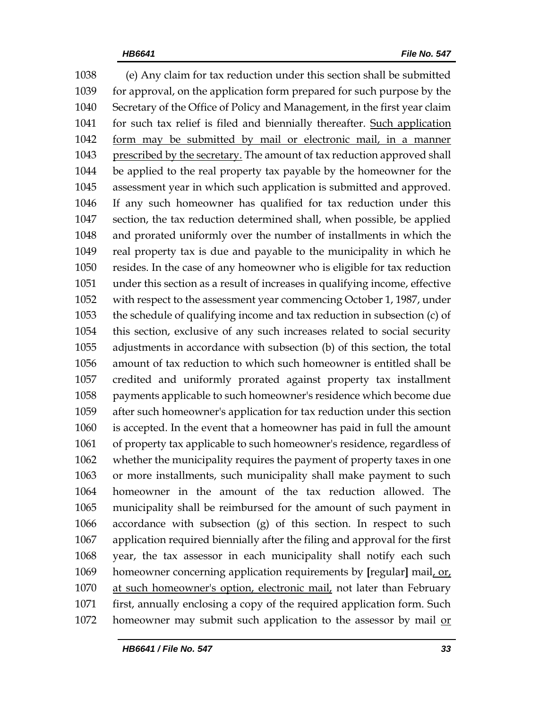(e) Any claim for tax reduction under this section shall be submitted for approval, on the application form prepared for such purpose by the Secretary of the Office of Policy and Management, in the first year claim for such tax relief is filed and biennially thereafter. Such application form may be submitted by mail or electronic mail, in a manner prescribed by the secretary. The amount of tax reduction approved shall be applied to the real property tax payable by the homeowner for the assessment year in which such application is submitted and approved. If any such homeowner has qualified for tax reduction under this section, the tax reduction determined shall, when possible, be applied and prorated uniformly over the number of installments in which the real property tax is due and payable to the municipality in which he resides. In the case of any homeowner who is eligible for tax reduction under this section as a result of increases in qualifying income, effective with respect to the assessment year commencing October 1, 1987, under the schedule of qualifying income and tax reduction in subsection (c) of this section, exclusive of any such increases related to social security adjustments in accordance with subsection (b) of this section, the total amount of tax reduction to which such homeowner is entitled shall be credited and uniformly prorated against property tax installment payments applicable to such homeowner's residence which become due after such homeowner's application for tax reduction under this section is accepted. In the event that a homeowner has paid in full the amount of property tax applicable to such homeowner's residence, regardless of whether the municipality requires the payment of property taxes in one or more installments, such municipality shall make payment to such homeowner in the amount of the tax reduction allowed. The municipality shall be reimbursed for the amount of such payment in accordance with subsection (g) of this section. In respect to such application required biennially after the filing and approval for the first year, the tax assessor in each municipality shall notify each such homeowner concerning application requirements by **[**regular**]** mail, or, at such homeowner's option, electronic mail, not later than February first, annually enclosing a copy of the required application form. Such 1072 homeowner may submit such application to the assessor by mail or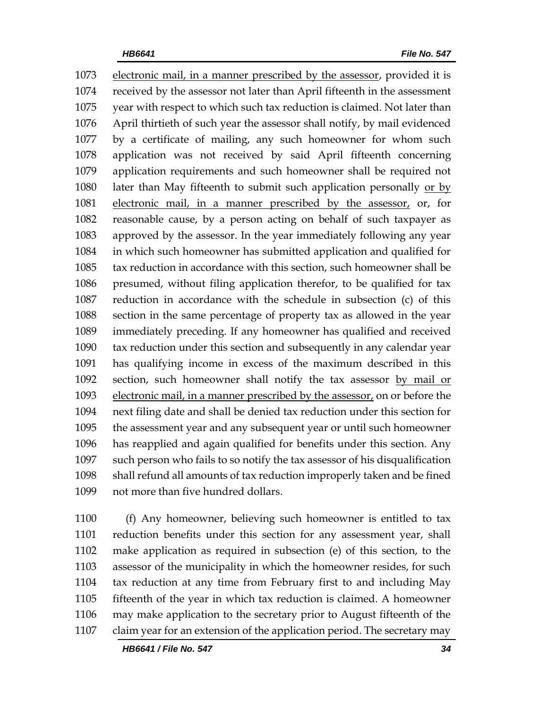electronic mail, in a manner prescribed by the assessor, provided it is received by the assessor not later than April fifteenth in the assessment year with respect to which such tax reduction is claimed. Not later than April thirtieth of such year the assessor shall notify, by mail evidenced by a certificate of mailing, any such homeowner for whom such application was not received by said April fifteenth concerning application requirements and such homeowner shall be required not later than May fifteenth to submit such application personally or by electronic mail, in a manner prescribed by the assessor, or, for reasonable cause, by a person acting on behalf of such taxpayer as approved by the assessor. In the year immediately following any year in which such homeowner has submitted application and qualified for tax reduction in accordance with this section, such homeowner shall be presumed, without filing application therefor, to be qualified for tax reduction in accordance with the schedule in subsection (c) of this section in the same percentage of property tax as allowed in the year immediately preceding. If any homeowner has qualified and received tax reduction under this section and subsequently in any calendar year has qualifying income in excess of the maximum described in this section, such homeowner shall notify the tax assessor by mail or electronic mail, in a manner prescribed by the assessor, on or before the next filing date and shall be denied tax reduction under this section for the assessment year and any subsequent year or until such homeowner has reapplied and again qualified for benefits under this section. Any such person who fails to so notify the tax assessor of his disqualification shall refund all amounts of tax reduction improperly taken and be fined not more than five hundred dollars.

 (f) Any homeowner, believing such homeowner is entitled to tax reduction benefits under this section for any assessment year, shall make application as required in subsection (e) of this section, to the assessor of the municipality in which the homeowner resides, for such tax reduction at any time from February first to and including May fifteenth of the year in which tax reduction is claimed. A homeowner may make application to the secretary prior to August fifteenth of the claim year for an extension of the application period. The secretary may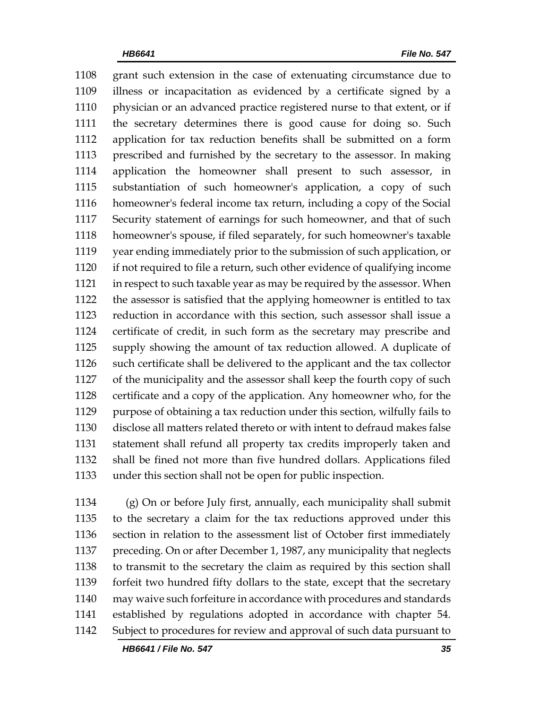grant such extension in the case of extenuating circumstance due to illness or incapacitation as evidenced by a certificate signed by a physician or an advanced practice registered nurse to that extent, or if the secretary determines there is good cause for doing so. Such application for tax reduction benefits shall be submitted on a form prescribed and furnished by the secretary to the assessor. In making application the homeowner shall present to such assessor, in substantiation of such homeowner's application, a copy of such homeowner's federal income tax return, including a copy of the Social Security statement of earnings for such homeowner, and that of such homeowner's spouse, if filed separately, for such homeowner's taxable year ending immediately prior to the submission of such application, or if not required to file a return, such other evidence of qualifying income in respect to such taxable year as may be required by the assessor. When the assessor is satisfied that the applying homeowner is entitled to tax reduction in accordance with this section, such assessor shall issue a certificate of credit, in such form as the secretary may prescribe and supply showing the amount of tax reduction allowed. A duplicate of such certificate shall be delivered to the applicant and the tax collector of the municipality and the assessor shall keep the fourth copy of such certificate and a copy of the application. Any homeowner who, for the purpose of obtaining a tax reduction under this section, wilfully fails to disclose all matters related thereto or with intent to defraud makes false statement shall refund all property tax credits improperly taken and shall be fined not more than five hundred dollars. Applications filed under this section shall not be open for public inspection.

 (g) On or before July first, annually, each municipality shall submit to the secretary a claim for the tax reductions approved under this section in relation to the assessment list of October first immediately preceding. On or after December 1, 1987, any municipality that neglects to transmit to the secretary the claim as required by this section shall forfeit two hundred fifty dollars to the state, except that the secretary may waive such forfeiture in accordance with procedures and standards established by regulations adopted in accordance with chapter 54. Subject to procedures for review and approval of such data pursuant to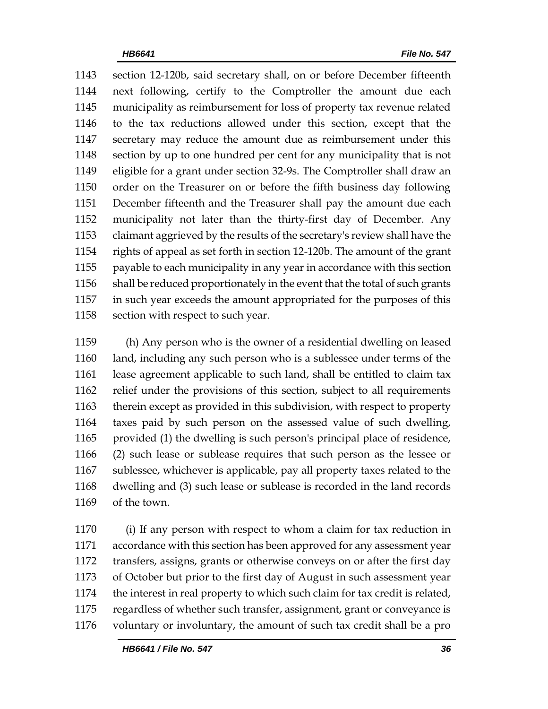section 12-120b, said secretary shall, on or before December fifteenth next following, certify to the Comptroller the amount due each municipality as reimbursement for loss of property tax revenue related to the tax reductions allowed under this section, except that the secretary may reduce the amount due as reimbursement under this section by up to one hundred per cent for any municipality that is not eligible for a grant under section 32-9s. The Comptroller shall draw an order on the Treasurer on or before the fifth business day following December fifteenth and the Treasurer shall pay the amount due each municipality not later than the thirty-first day of December. Any claimant aggrieved by the results of the secretary's review shall have the rights of appeal as set forth in section 12-120b. The amount of the grant payable to each municipality in any year in accordance with this section shall be reduced proportionately in the event that the total of such grants in such year exceeds the amount appropriated for the purposes of this 1158 section with respect to such year.

 (h) Any person who is the owner of a residential dwelling on leased land, including any such person who is a sublessee under terms of the lease agreement applicable to such land, shall be entitled to claim tax relief under the provisions of this section, subject to all requirements therein except as provided in this subdivision, with respect to property taxes paid by such person on the assessed value of such dwelling, provided (1) the dwelling is such person's principal place of residence, (2) such lease or sublease requires that such person as the lessee or sublessee, whichever is applicable, pay all property taxes related to the dwelling and (3) such lease or sublease is recorded in the land records of the town.

 (i) If any person with respect to whom a claim for tax reduction in accordance with this section has been approved for any assessment year transfers, assigns, grants or otherwise conveys on or after the first day of October but prior to the first day of August in such assessment year the interest in real property to which such claim for tax credit is related, regardless of whether such transfer, assignment, grant or conveyance is voluntary or involuntary, the amount of such tax credit shall be a pro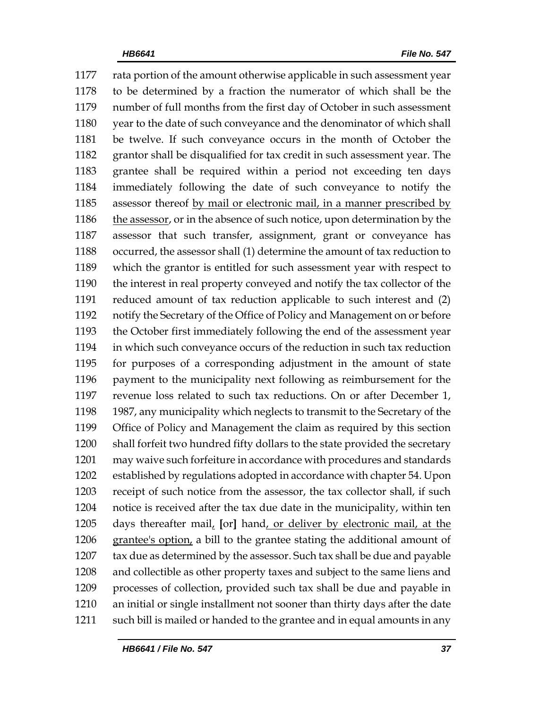rata portion of the amount otherwise applicable in such assessment year to be determined by a fraction the numerator of which shall be the number of full months from the first day of October in such assessment year to the date of such conveyance and the denominator of which shall be twelve. If such conveyance occurs in the month of October the grantor shall be disqualified for tax credit in such assessment year. The grantee shall be required within a period not exceeding ten days immediately following the date of such conveyance to notify the assessor thereof by mail or electronic mail, in a manner prescribed by the assessor, or in the absence of such notice, upon determination by the assessor that such transfer, assignment, grant or conveyance has occurred, the assessor shall (1) determine the amount of tax reduction to which the grantor is entitled for such assessment year with respect to the interest in real property conveyed and notify the tax collector of the reduced amount of tax reduction applicable to such interest and (2) notify the Secretary of the Office of Policy and Management on or before the October first immediately following the end of the assessment year in which such conveyance occurs of the reduction in such tax reduction for purposes of a corresponding adjustment in the amount of state payment to the municipality next following as reimbursement for the revenue loss related to such tax reductions. On or after December 1, 1987, any municipality which neglects to transmit to the Secretary of the Office of Policy and Management the claim as required by this section shall forfeit two hundred fifty dollars to the state provided the secretary may waive such forfeiture in accordance with procedures and standards established by regulations adopted in accordance with chapter 54. Upon receipt of such notice from the assessor, the tax collector shall, if such notice is received after the tax due date in the municipality, within ten days thereafter mail, **[**or**]** hand, or deliver by electronic mail, at the grantee's option, a bill to the grantee stating the additional amount of tax due as determined by the assessor. Such tax shall be due and payable and collectible as other property taxes and subject to the same liens and processes of collection, provided such tax shall be due and payable in an initial or single installment not sooner than thirty days after the date such bill is mailed or handed to the grantee and in equal amounts in any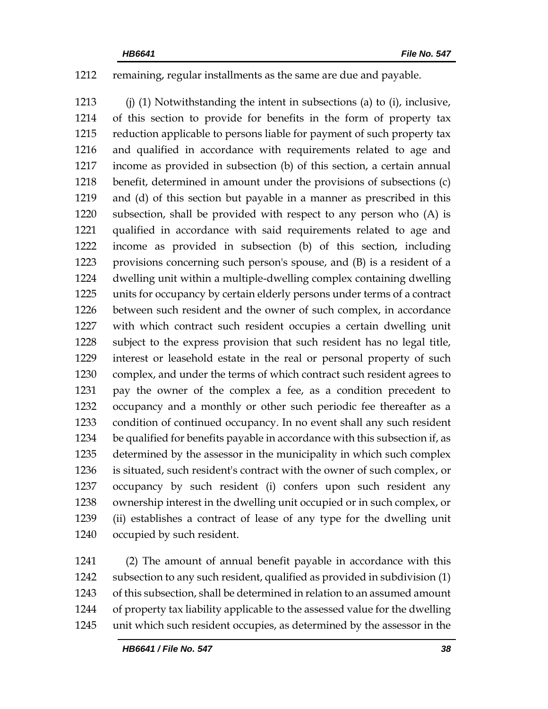# remaining, regular installments as the same are due and payable.

 (j) (1) Notwithstanding the intent in subsections (a) to (i), inclusive, of this section to provide for benefits in the form of property tax reduction applicable to persons liable for payment of such property tax and qualified in accordance with requirements related to age and income as provided in subsection (b) of this section, a certain annual benefit, determined in amount under the provisions of subsections (c) and (d) of this section but payable in a manner as prescribed in this subsection, shall be provided with respect to any person who (A) is qualified in accordance with said requirements related to age and income as provided in subsection (b) of this section, including provisions concerning such person's spouse, and (B) is a resident of a dwelling unit within a multiple-dwelling complex containing dwelling units for occupancy by certain elderly persons under terms of a contract between such resident and the owner of such complex, in accordance with which contract such resident occupies a certain dwelling unit subject to the express provision that such resident has no legal title, interest or leasehold estate in the real or personal property of such complex, and under the terms of which contract such resident agrees to pay the owner of the complex a fee, as a condition precedent to occupancy and a monthly or other such periodic fee thereafter as a condition of continued occupancy. In no event shall any such resident be qualified for benefits payable in accordance with this subsection if, as determined by the assessor in the municipality in which such complex is situated, such resident's contract with the owner of such complex, or occupancy by such resident (i) confers upon such resident any ownership interest in the dwelling unit occupied or in such complex, or (ii) establishes a contract of lease of any type for the dwelling unit occupied by such resident.

 (2) The amount of annual benefit payable in accordance with this subsection to any such resident, qualified as provided in subdivision (1) of this subsection, shall be determined in relation to an assumed amount of property tax liability applicable to the assessed value for the dwelling unit which such resident occupies, as determined by the assessor in the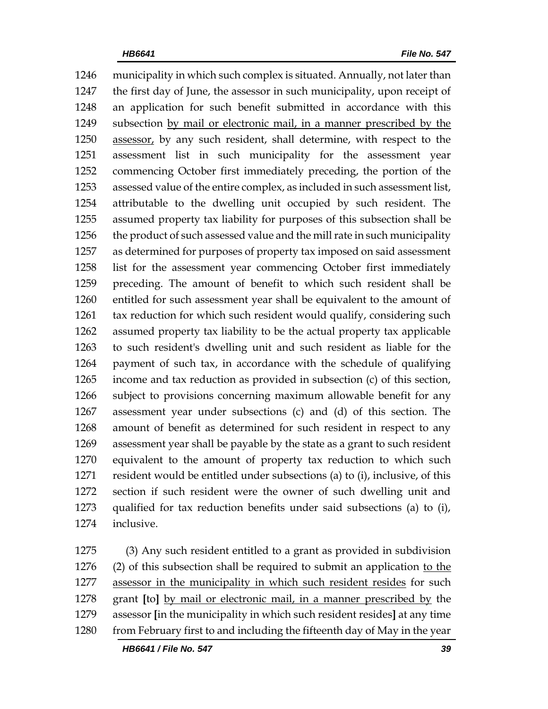municipality in which such complex is situated. Annually, not later than the first day of June, the assessor in such municipality, upon receipt of an application for such benefit submitted in accordance with this subsection by mail or electronic mail, in a manner prescribed by the 1250 assessor, by any such resident, shall determine, with respect to the assessment list in such municipality for the assessment year commencing October first immediately preceding, the portion of the assessed value of the entire complex, as included in such assessment list, attributable to the dwelling unit occupied by such resident. The assumed property tax liability for purposes of this subsection shall be the product of such assessed value and the mill rate in such municipality as determined for purposes of property tax imposed on said assessment list for the assessment year commencing October first immediately preceding. The amount of benefit to which such resident shall be entitled for such assessment year shall be equivalent to the amount of tax reduction for which such resident would qualify, considering such assumed property tax liability to be the actual property tax applicable to such resident's dwelling unit and such resident as liable for the payment of such tax, in accordance with the schedule of qualifying income and tax reduction as provided in subsection (c) of this section, subject to provisions concerning maximum allowable benefit for any assessment year under subsections (c) and (d) of this section. The amount of benefit as determined for such resident in respect to any assessment year shall be payable by the state as a grant to such resident equivalent to the amount of property tax reduction to which such resident would be entitled under subsections (a) to (i), inclusive, of this section if such resident were the owner of such dwelling unit and qualified for tax reduction benefits under said subsections (a) to (i), inclusive.

 (3) Any such resident entitled to a grant as provided in subdivision (2) of this subsection shall be required to submit an application to the assessor in the municipality in which such resident resides for such grant **[**to**]** by mail or electronic mail, in a manner prescribed by the assessor **[**in the municipality in which such resident resides**]** at any time 1280 from February first to and including the fifteenth day of May in the year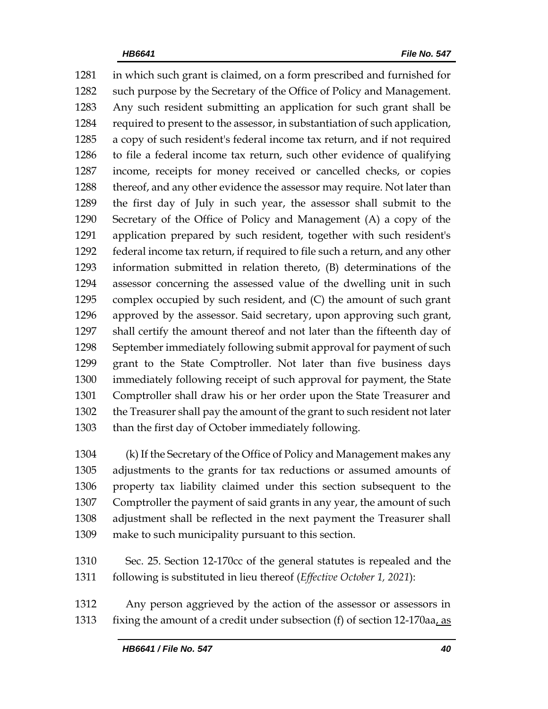in which such grant is claimed, on a form prescribed and furnished for such purpose by the Secretary of the Office of Policy and Management. Any such resident submitting an application for such grant shall be required to present to the assessor, in substantiation of such application, a copy of such resident's federal income tax return, and if not required to file a federal income tax return, such other evidence of qualifying income, receipts for money received or cancelled checks, or copies 1288 thereof, and any other evidence the assessor may require. Not later than the first day of July in such year, the assessor shall submit to the Secretary of the Office of Policy and Management (A) a copy of the application prepared by such resident, together with such resident's federal income tax return, if required to file such a return, and any other information submitted in relation thereto, (B) determinations of the assessor concerning the assessed value of the dwelling unit in such complex occupied by such resident, and (C) the amount of such grant approved by the assessor. Said secretary, upon approving such grant, shall certify the amount thereof and not later than the fifteenth day of September immediately following submit approval for payment of such grant to the State Comptroller. Not later than five business days immediately following receipt of such approval for payment, the State Comptroller shall draw his or her order upon the State Treasurer and the Treasurer shall pay the amount of the grant to such resident not later than the first day of October immediately following.

 (k) If the Secretary of the Office of Policy and Management makes any adjustments to the grants for tax reductions or assumed amounts of property tax liability claimed under this section subsequent to the Comptroller the payment of said grants in any year, the amount of such adjustment shall be reflected in the next payment the Treasurer shall make to such municipality pursuant to this section.

 Sec. 25. Section 12-170cc of the general statutes is repealed and the following is substituted in lieu thereof (*Effective October 1, 2021*):

 Any person aggrieved by the action of the assessor or assessors in fixing the amount of a credit under subsection (f) of section 12-170aa, as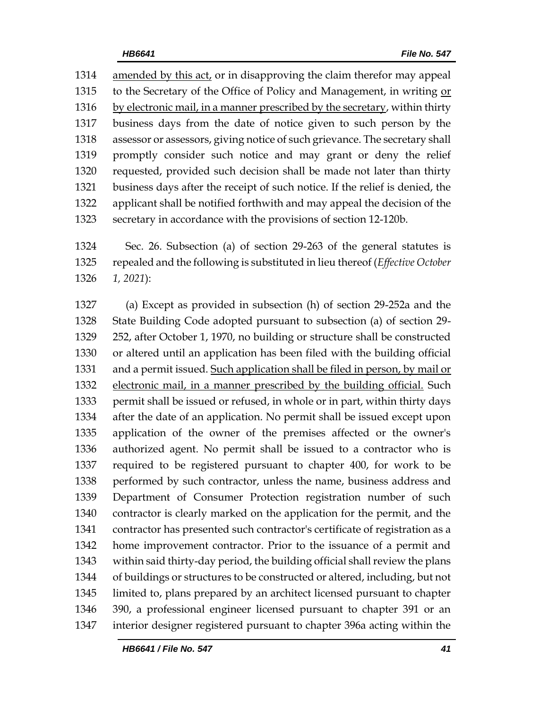amended by this act, or in disapproving the claim therefor may appeal to the Secretary of the Office of Policy and Management, in writing or by electronic mail, in a manner prescribed by the secretary, within thirty business days from the date of notice given to such person by the assessor or assessors, giving notice of such grievance. The secretary shall promptly consider such notice and may grant or deny the relief requested, provided such decision shall be made not later than thirty business days after the receipt of such notice. If the relief is denied, the applicant shall be notified forthwith and may appeal the decision of the secretary in accordance with the provisions of section 12-120b.

 Sec. 26. Subsection (a) of section 29-263 of the general statutes is repealed and the following is substituted in lieu thereof (*Effective October 1, 2021*):

 (a) Except as provided in subsection (h) of section 29-252a and the State Building Code adopted pursuant to subsection (a) of section 29- 252, after October 1, 1970, no building or structure shall be constructed or altered until an application has been filed with the building official 1331 and a permit issued. Such application shall be filed in person, by mail or 1332 electronic mail, in a manner prescribed by the building official. Such permit shall be issued or refused, in whole or in part, within thirty days after the date of an application. No permit shall be issued except upon application of the owner of the premises affected or the owner's authorized agent. No permit shall be issued to a contractor who is required to be registered pursuant to chapter 400, for work to be performed by such contractor, unless the name, business address and Department of Consumer Protection registration number of such contractor is clearly marked on the application for the permit, and the contractor has presented such contractor's certificate of registration as a home improvement contractor. Prior to the issuance of a permit and within said thirty-day period, the building official shall review the plans of buildings or structures to be constructed or altered, including, but not limited to, plans prepared by an architect licensed pursuant to chapter 390, a professional engineer licensed pursuant to chapter 391 or an interior designer registered pursuant to chapter 396a acting within the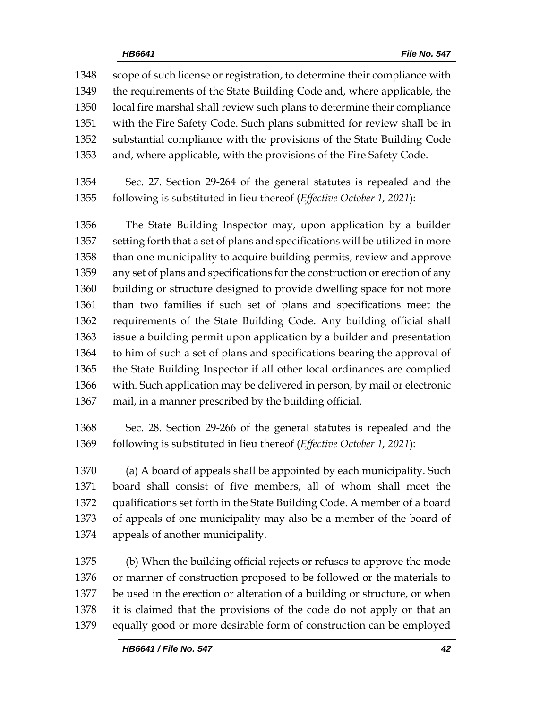scope of such license or registration, to determine their compliance with the requirements of the State Building Code and, where applicable, the local fire marshal shall review such plans to determine their compliance with the Fire Safety Code. Such plans submitted for review shall be in substantial compliance with the provisions of the State Building Code and, where applicable, with the provisions of the Fire Safety Code. Sec. 27. Section 29-264 of the general statutes is repealed and the following is substituted in lieu thereof (*Effective October 1, 2021*): The State Building Inspector may, upon application by a builder setting forth that a set of plans and specifications will be utilized in more than one municipality to acquire building permits, review and approve any set of plans and specifications for the construction or erection of any building or structure designed to provide dwelling space for not more than two families if such set of plans and specifications meet the requirements of the State Building Code. Any building official shall issue a building permit upon application by a builder and presentation to him of such a set of plans and specifications bearing the approval of the State Building Inspector if all other local ordinances are complied with. Such application may be delivered in person, by mail or electronic 1367 mail, in a manner prescribed by the building official.

 Sec. 28. Section 29-266 of the general statutes is repealed and the following is substituted in lieu thereof (*Effective October 1, 2021*):

 (a) A board of appeals shall be appointed by each municipality. Such board shall consist of five members, all of whom shall meet the qualifications set forth in the State Building Code. A member of a board of appeals of one municipality may also be a member of the board of appeals of another municipality.

 (b) When the building official rejects or refuses to approve the mode or manner of construction proposed to be followed or the materials to be used in the erection or alteration of a building or structure, or when it is claimed that the provisions of the code do not apply or that an equally good or more desirable form of construction can be employed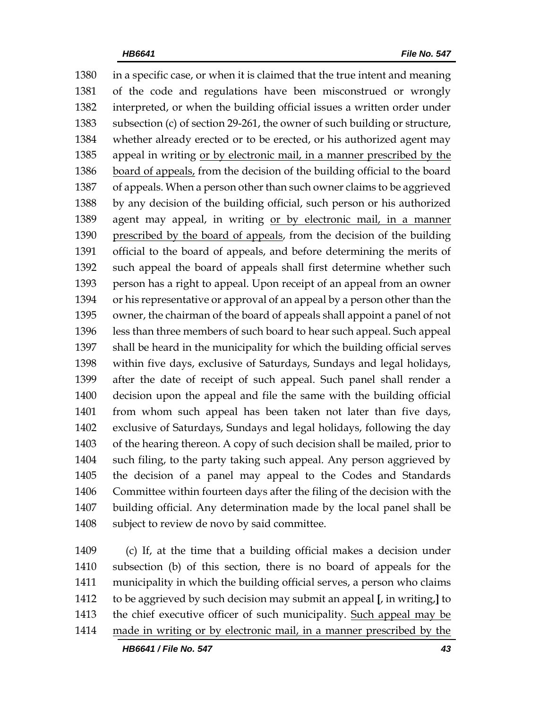in a specific case, or when it is claimed that the true intent and meaning of the code and regulations have been misconstrued or wrongly interpreted, or when the building official issues a written order under subsection (c) of section 29-261, the owner of such building or structure, whether already erected or to be erected, or his authorized agent may appeal in writing or by electronic mail, in a manner prescribed by the 1386 board of appeals, from the decision of the building official to the board of appeals. When a person other than such owner claims to be aggrieved by any decision of the building official, such person or his authorized agent may appeal, in writing or by electronic mail, in a manner 1390 prescribed by the board of appeals, from the decision of the building official to the board of appeals, and before determining the merits of such appeal the board of appeals shall first determine whether such person has a right to appeal. Upon receipt of an appeal from an owner or his representative or approval of an appeal by a person other than the owner, the chairman of the board of appeals shall appoint a panel of not less than three members of such board to hear such appeal. Such appeal shall be heard in the municipality for which the building official serves within five days, exclusive of Saturdays, Sundays and legal holidays, after the date of receipt of such appeal. Such panel shall render a decision upon the appeal and file the same with the building official from whom such appeal has been taken not later than five days, exclusive of Saturdays, Sundays and legal holidays, following the day of the hearing thereon. A copy of such decision shall be mailed, prior to such filing, to the party taking such appeal. Any person aggrieved by the decision of a panel may appeal to the Codes and Standards Committee within fourteen days after the filing of the decision with the building official. Any determination made by the local panel shall be subject to review de novo by said committee.

 (c) If, at the time that a building official makes a decision under subsection (b) of this section, there is no board of appeals for the municipality in which the building official serves, a person who claims to be aggrieved by such decision may submit an appeal **[**, in writing,**]** to 1413 the chief executive officer of such municipality. Such appeal may be made in writing or by electronic mail, in a manner prescribed by the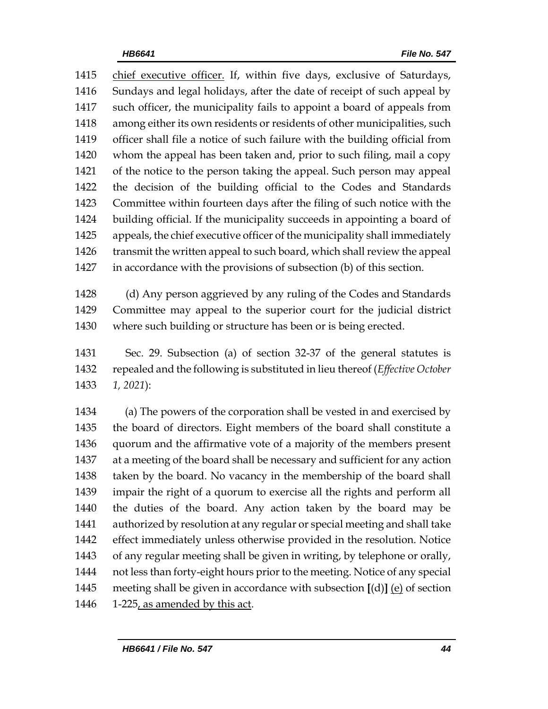chief executive officer. If, within five days, exclusive of Saturdays, Sundays and legal holidays, after the date of receipt of such appeal by such officer, the municipality fails to appoint a board of appeals from among either its own residents or residents of other municipalities, such officer shall file a notice of such failure with the building official from whom the appeal has been taken and, prior to such filing, mail a copy of the notice to the person taking the appeal. Such person may appeal the decision of the building official to the Codes and Standards Committee within fourteen days after the filing of such notice with the building official. If the municipality succeeds in appointing a board of appeals, the chief executive officer of the municipality shall immediately transmit the written appeal to such board, which shall review the appeal in accordance with the provisions of subsection (b) of this section.

 (d) Any person aggrieved by any ruling of the Codes and Standards Committee may appeal to the superior court for the judicial district where such building or structure has been or is being erected.

 Sec. 29. Subsection (a) of section 32-37 of the general statutes is repealed and the following is substituted in lieu thereof (*Effective October 1, 2021*):

 (a) The powers of the corporation shall be vested in and exercised by the board of directors. Eight members of the board shall constitute a quorum and the affirmative vote of a majority of the members present at a meeting of the board shall be necessary and sufficient for any action taken by the board. No vacancy in the membership of the board shall impair the right of a quorum to exercise all the rights and perform all the duties of the board. Any action taken by the board may be authorized by resolution at any regular or special meeting and shall take effect immediately unless otherwise provided in the resolution. Notice of any regular meeting shall be given in writing, by telephone or orally, not less than forty-eight hours prior to the meeting. Notice of any special meeting shall be given in accordance with subsection **[**(d)**]** (e) of section 1-225, as amended by this act.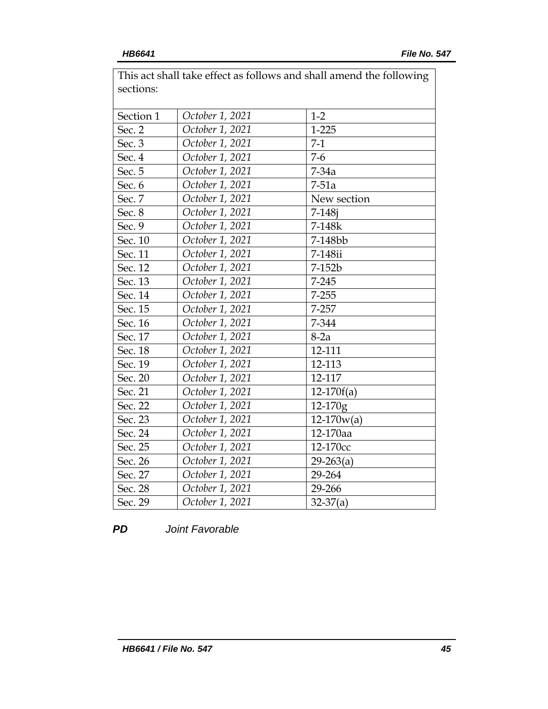| This act shall take client as follows and shall alliend the following<br>sections: |                 |              |  |  |
|------------------------------------------------------------------------------------|-----------------|--------------|--|--|
|                                                                                    |                 |              |  |  |
| Section 1                                                                          | October 1, 2021 | $1-2$        |  |  |
| Sec. 2                                                                             | October 1, 2021 | $1 - 225$    |  |  |
| Sec. 3                                                                             | October 1, 2021 | $7-1$        |  |  |
| Sec. 4                                                                             | October 1, 2021 | $7-6$        |  |  |
| Sec. 5                                                                             | October 1, 2021 | $7-34a$      |  |  |
| Sec. 6                                                                             | October 1, 2021 | $7-51a$      |  |  |
| Sec. 7                                                                             | October 1, 2021 | New section  |  |  |
| Sec. 8                                                                             | October 1, 2021 | $7 - 148j$   |  |  |
| Sec. 9                                                                             | October 1, 2021 | 7-148k       |  |  |
| Sec. 10                                                                            | October 1, 2021 | 7-148bb      |  |  |
| Sec. 11                                                                            | October 1, 2021 | 7-148ii      |  |  |
| Sec. 12                                                                            | October 1, 2021 | 7-152b       |  |  |
| Sec. 13                                                                            | October 1, 2021 | $7 - 245$    |  |  |
| Sec. 14                                                                            | October 1, 2021 | $7 - 255$    |  |  |
| Sec. 15                                                                            | October 1, 2021 | 7-257        |  |  |
| Sec. 16                                                                            | October 1, 2021 | 7-344        |  |  |
| Sec. 17                                                                            | October 1, 2021 | $8-2a$       |  |  |
| Sec. 18                                                                            | October 1, 2021 | 12-111       |  |  |
| Sec. 19                                                                            | October 1, 2021 | 12-113       |  |  |
| Sec. 20                                                                            | October 1, 2021 | 12-117       |  |  |
| Sec. 21                                                                            | October 1, 2021 | $12-170f(a)$ |  |  |
| Sec. 22                                                                            | October 1, 2021 | 12-170g      |  |  |
| Sec. 23                                                                            | October 1, 2021 | $12-170w(a)$ |  |  |
| Sec. 24                                                                            | October 1, 2021 | 12-170aa     |  |  |
| Sec. 25                                                                            | October 1, 2021 | 12-170cc     |  |  |
| Sec. 26                                                                            | October 1, 2021 | $29-263(a)$  |  |  |
| Sec. 27                                                                            | October 1, 2021 | 29-264       |  |  |
| Sec. 28                                                                            | October 1, 2021 | 29-266       |  |  |
| Sec. 29                                                                            | October 1, 2021 | $32-37(a)$   |  |  |

This act shall take effect as follows and shall amend the following

*PD Joint Favorable*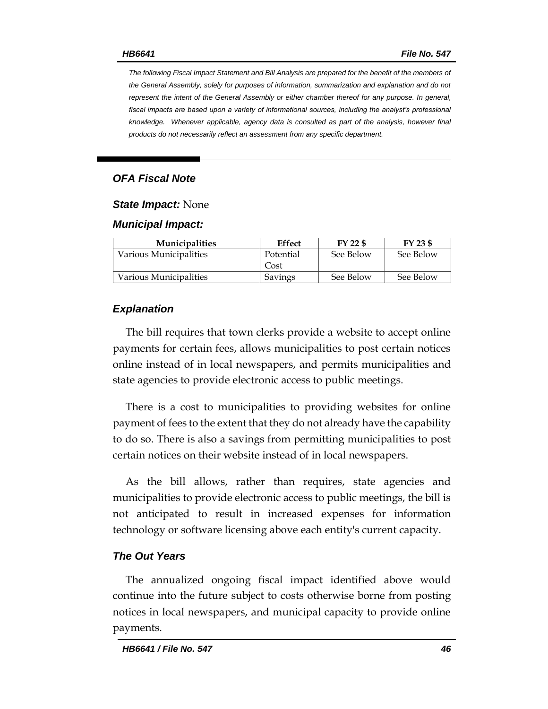*The following Fiscal Impact Statement and Bill Analysis are prepared for the benefit of the members of the General Assembly, solely for purposes of information, summarization and explanation and do not represent the intent of the General Assembly or either chamber thereof for any purpose. In general, fiscal impacts are based upon a variety of informational sources, including the analyst's professional knowledge. Whenever applicable, agency data is consulted as part of the analysis, however final products do not necessarily reflect an assessment from any specific department.*

### *OFA Fiscal Note*

### *State Impact:* None

### *Municipal Impact:*

| <b>Municipalities</b>  | Effect    | FY 22 \$  | FY 23 \$  |
|------------------------|-----------|-----------|-----------|
| Various Municipalities | Potential | See Below | See Below |
|                        | Cost      |           |           |
| Various Municipalities | Savings   | See Below | See Below |

### *Explanation*

The bill requires that town clerks provide a website to accept online payments for certain fees, allows municipalities to post certain notices online instead of in local newspapers, and permits municipalities and state agencies to provide electronic access to public meetings.

There is a cost to municipalities to providing websites for online payment of fees to the extent that they do not already have the capability to do so. There is also a savings from permitting municipalities to post certain notices on their website instead of in local newspapers.

As the bill allows, rather than requires, state agencies and municipalities to provide electronic access to public meetings, the bill is not anticipated to result in increased expenses for information technology or software licensing above each entity's current capacity.

### *The Out Years*

The annualized ongoing fiscal impact identified above would continue into the future subject to costs otherwise borne from posting notices in local newspapers, and municipal capacity to provide online payments.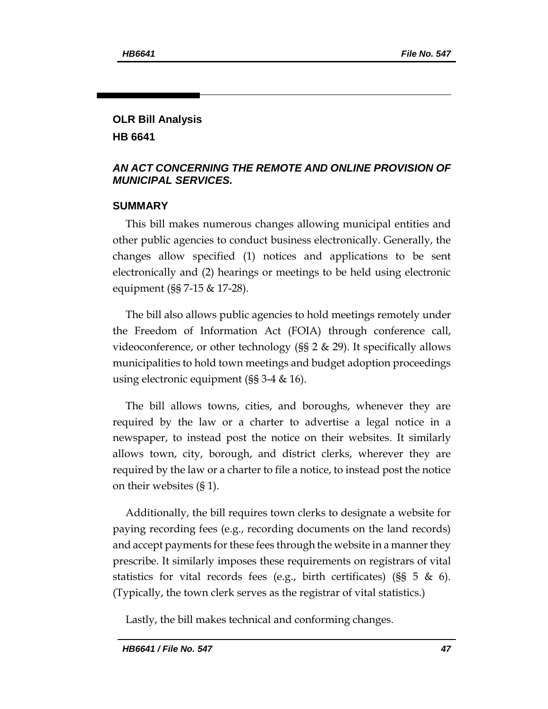# **OLR Bill Analysis**

**HB 6641**

# *AN ACT CONCERNING THE REMOTE AND ONLINE PROVISION OF MUNICIPAL SERVICES.*

# **SUMMARY**

This bill makes numerous changes allowing municipal entities and other public agencies to conduct business electronically. Generally, the changes allow specified (1) notices and applications to be sent electronically and (2) hearings or meetings to be held using electronic equipment (§§ 7-15 & 17-28).

The bill also allows public agencies to hold meetings remotely under the Freedom of Information Act (FOIA) through conference call, videoconference, or other technology (§§ 2 & 29). It specifically allows municipalities to hold town meetings and budget adoption proceedings using electronic equipment (§§ 3-4 & 16).

The bill allows towns, cities, and boroughs, whenever they are required by the law or a charter to advertise a legal notice in a newspaper, to instead post the notice on their websites. It similarly allows town, city, borough, and district clerks, wherever they are required by the law or a charter to file a notice, to instead post the notice on their websites (§ 1).

Additionally, the bill requires town clerks to designate a website for paying recording fees (e.g., recording documents on the land records) and accept payments for these fees through the website in a manner they prescribe. It similarly imposes these requirements on registrars of vital statistics for vital records fees (e.g., birth certificates) ( $\S$ § 5 & 6). (Typically, the town clerk serves as the registrar of vital statistics.)

Lastly, the bill makes technical and conforming changes.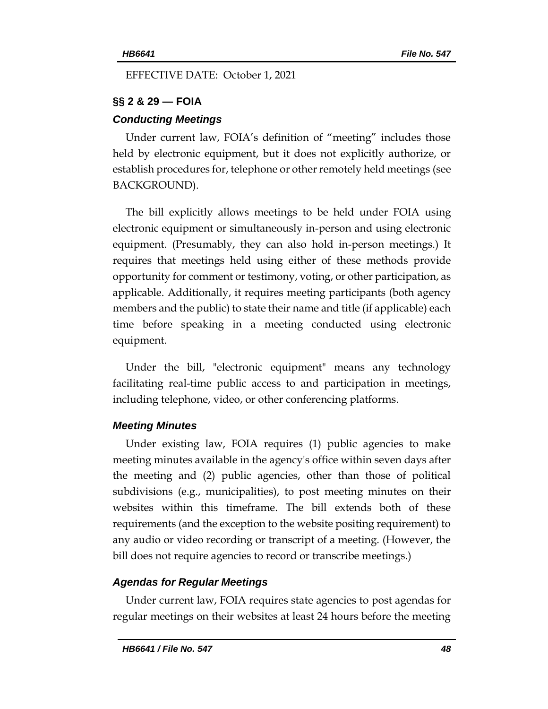EFFECTIVE DATE: October 1, 2021

# **§§ 2 & 29 — FOIA**

# *Conducting Meetings*

Under current law, FOIA's definition of "meeting" includes those held by electronic equipment, but it does not explicitly authorize, or establish procedures for, telephone or other remotely held meetings (see BACKGROUND).

The bill explicitly allows meetings to be held under FOIA using electronic equipment or simultaneously in-person and using electronic equipment. (Presumably, they can also hold in-person meetings.) It requires that meetings held using either of these methods provide opportunity for comment or testimony, voting, or other participation, as applicable. Additionally, it requires meeting participants (both agency members and the public) to state their name and title (if applicable) each time before speaking in a meeting conducted using electronic equipment.

Under the bill, "electronic equipment" means any technology facilitating real-time public access to and participation in meetings, including telephone, video, or other conferencing platforms.

# *Meeting Minutes*

Under existing law, FOIA requires (1) public agencies to make meeting minutes available in the agency's office within seven days after the meeting and (2) public agencies, other than those of political subdivisions (e.g., municipalities), to post meeting minutes on their websites within this timeframe. The bill extends both of these requirements (and the exception to the website positing requirement) to any audio or video recording or transcript of a meeting. (However, the bill does not require agencies to record or transcribe meetings.)

# *Agendas for Regular Meetings*

Under current law, FOIA requires state agencies to post agendas for regular meetings on their websites at least 24 hours before the meeting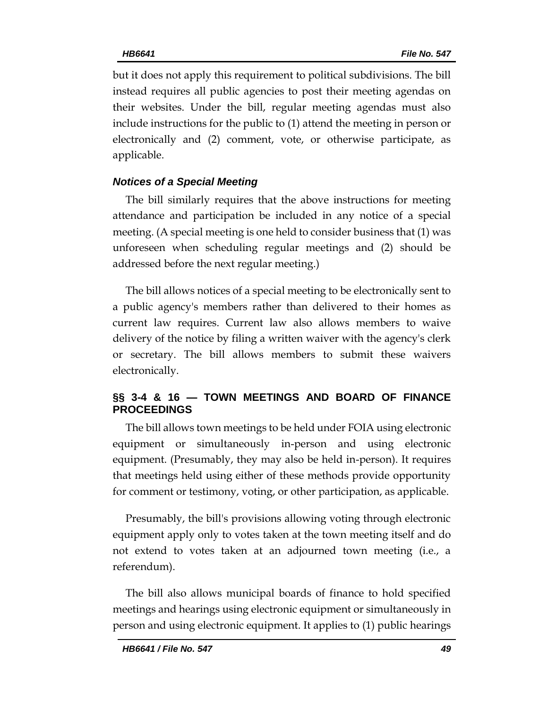but it does not apply this requirement to political subdivisions. The bill instead requires all public agencies to post their meeting agendas on their websites. Under the bill, regular meeting agendas must also include instructions for the public to (1) attend the meeting in person or electronically and (2) comment, vote, or otherwise participate, as applicable.

# *Notices of a Special Meeting*

The bill similarly requires that the above instructions for meeting attendance and participation be included in any notice of a special meeting. (A special meeting is one held to consider business that (1) was unforeseen when scheduling regular meetings and (2) should be addressed before the next regular meeting.)

The bill allows notices of a special meeting to be electronically sent to a public agency's members rather than delivered to their homes as current law requires. Current law also allows members to waive delivery of the notice by filing a written waiver with the agency's clerk or secretary. The bill allows members to submit these waivers electronically.

# **§§ 3-4 & 16 — TOWN MEETINGS AND BOARD OF FINANCE PROCEEDINGS**

The bill allows town meetings to be held under FOIA using electronic equipment or simultaneously in-person and using electronic equipment. (Presumably, they may also be held in-person). It requires that meetings held using either of these methods provide opportunity for comment or testimony, voting, or other participation, as applicable.

Presumably, the bill's provisions allowing voting through electronic equipment apply only to votes taken at the town meeting itself and do not extend to votes taken at an adjourned town meeting (i.e., a referendum).

The bill also allows municipal boards of finance to hold specified meetings and hearings using electronic equipment or simultaneously in person and using electronic equipment. It applies to (1) public hearings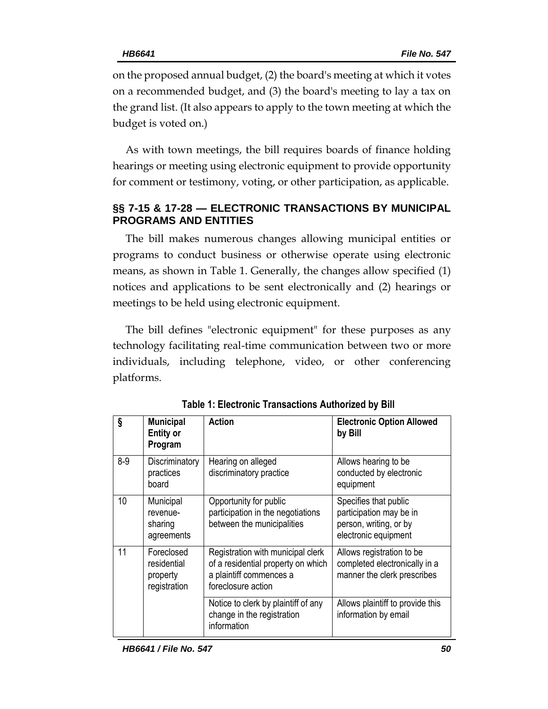on the proposed annual budget, (2) the board's meeting at which it votes on a recommended budget, and (3) the board's meeting to lay a tax on the grand list. (It also appears to apply to the town meeting at which the budget is voted on.)

As with town meetings, the bill requires boards of finance holding hearings or meeting using electronic equipment to provide opportunity for comment or testimony, voting, or other participation, as applicable.

# **§§ 7-15 & 17-28 — ELECTRONIC TRANSACTIONS BY MUNICIPAL PROGRAMS AND ENTITIES**

The bill makes numerous changes allowing municipal entities or programs to conduct business or otherwise operate using electronic means, as shown in Table 1. Generally, the changes allow specified (1) notices and applications to be sent electronically and (2) hearings or meetings to be held using electronic equipment.

The bill defines "electronic equipment" for these purposes as any technology facilitating real-time communication between two or more individuals, including telephone, video, or other conferencing platforms.

| ş       | <b>Municipal</b><br><b>Entity or</b><br>Program       | <b>Action</b>                                                                                                            | <b>Electronic Option Allowed</b><br>by Bill                                                        |
|---------|-------------------------------------------------------|--------------------------------------------------------------------------------------------------------------------------|----------------------------------------------------------------------------------------------------|
| $8 - 9$ | Discriminatory<br>practices<br>board                  | Hearing on alleged<br>discriminatory practice                                                                            | Allows hearing to be<br>conducted by electronic<br>equipment                                       |
| 10      | Municipal<br>revenue-<br>sharing<br>agreements        | Opportunity for public<br>participation in the negotiations<br>between the municipalities                                | Specifies that public<br>participation may be in<br>person, writing, or by<br>electronic equipment |
| 11      | Foreclosed<br>residential<br>property<br>registration | Registration with municipal clerk<br>of a residential property on which<br>a plaintiff commences a<br>foreclosure action | Allows registration to be<br>completed electronically in a<br>manner the clerk prescribes          |
|         |                                                       | Notice to clerk by plaintiff of any<br>change in the registration<br>information                                         | Allows plaintiff to provide this<br>information by email                                           |

**Table 1: Electronic Transactions Authorized by Bill**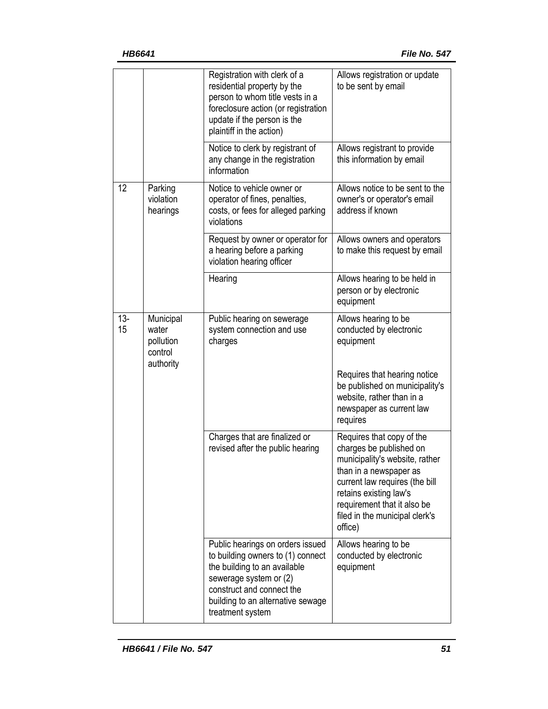|              |                                                         | Registration with clerk of a<br>residential property by the<br>person to whom title vests in a<br>foreclosure action (or registration<br>update if the person is the<br>plaintiff in the action)                      | Allows registration or update<br>to be sent by email                                                                                                                                                                                                     |
|--------------|---------------------------------------------------------|-----------------------------------------------------------------------------------------------------------------------------------------------------------------------------------------------------------------------|----------------------------------------------------------------------------------------------------------------------------------------------------------------------------------------------------------------------------------------------------------|
|              |                                                         | Notice to clerk by registrant of<br>any change in the registration<br>information                                                                                                                                     | Allows registrant to provide<br>this information by email                                                                                                                                                                                                |
| 12           | Parking<br>violation<br>hearings                        | Notice to vehicle owner or<br>operator of fines, penalties,<br>costs, or fees for alleged parking<br>violations                                                                                                       | Allows notice to be sent to the<br>owner's or operator's email<br>address if known                                                                                                                                                                       |
|              |                                                         | Request by owner or operator for<br>a hearing before a parking<br>violation hearing officer                                                                                                                           | Allows owners and operators<br>to make this request by email                                                                                                                                                                                             |
|              |                                                         | Hearing                                                                                                                                                                                                               | Allows hearing to be held in<br>person or by electronic<br>equipment                                                                                                                                                                                     |
| $13 -$<br>15 | Municipal<br>water<br>pollution<br>control<br>authority | Public hearing on sewerage<br>system connection and use<br>charges                                                                                                                                                    | Allows hearing to be<br>conducted by electronic<br>equipment                                                                                                                                                                                             |
|              |                                                         |                                                                                                                                                                                                                       | Requires that hearing notice<br>be published on municipality's<br>website, rather than in a<br>newspaper as current law<br>requires                                                                                                                      |
|              |                                                         | Charges that are finalized or<br>revised after the public hearing                                                                                                                                                     | Requires that copy of the<br>charges be published on<br>municipality's website, rather<br>than in a newspaper as<br>current law requires (the bill<br>retains existing law's<br>requirement that it also be<br>filed in the municipal clerk's<br>office) |
|              |                                                         | Public hearings on orders issued<br>to building owners to (1) connect<br>the building to an available<br>sewerage system or (2)<br>construct and connect the<br>building to an alternative sewage<br>treatment system | Allows hearing to be<br>conducted by electronic<br>equipment                                                                                                                                                                                             |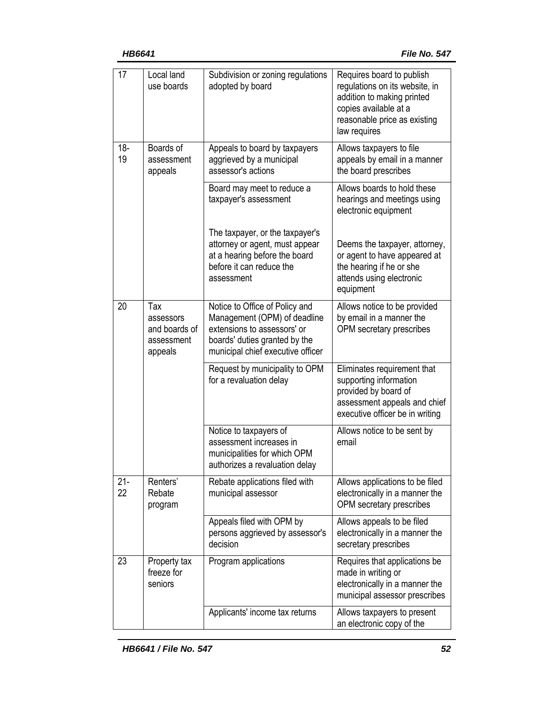| 17           | Local land<br>use boards                                   | Subdivision or zoning regulations<br>adopted by board                                                                                                               | Requires board to publish<br>regulations on its website, in<br>addition to making printed<br>copies available at a<br>reasonable price as existing<br>law requires |
|--------------|------------------------------------------------------------|---------------------------------------------------------------------------------------------------------------------------------------------------------------------|--------------------------------------------------------------------------------------------------------------------------------------------------------------------|
| $18 -$<br>19 | Boards of<br>assessment<br>appeals                         | Appeals to board by taxpayers<br>aggrieved by a municipal<br>assessor's actions                                                                                     | Allows taxpayers to file<br>appeals by email in a manner<br>the board prescribes                                                                                   |
|              |                                                            | Board may meet to reduce a<br>taxpayer's assessment                                                                                                                 | Allows boards to hold these<br>hearings and meetings using<br>electronic equipment                                                                                 |
|              |                                                            | The taxpayer, or the taxpayer's<br>attorney or agent, must appear<br>at a hearing before the board<br>before it can reduce the<br>assessment                        | Deems the taxpayer, attorney,<br>or agent to have appeared at<br>the hearing if he or she<br>attends using electronic<br>equipment                                 |
| 20           | Tax<br>assessors<br>and boards of<br>assessment<br>appeals | Notice to Office of Policy and<br>Management (OPM) of deadline<br>extensions to assessors' or<br>boards' duties granted by the<br>municipal chief executive officer | Allows notice to be provided<br>by email in a manner the<br>OPM secretary prescribes                                                                               |
|              |                                                            | Request by municipality to OPM<br>for a revaluation delay                                                                                                           | Eliminates requirement that<br>supporting information<br>provided by board of<br>assessment appeals and chief<br>executive officer be in writing                   |
|              |                                                            | Notice to taxpayers of<br>assessment increases in<br>municipalities for which OPM<br>authorizes a revaluation delay                                                 | Allows notice to be sent by<br>email                                                                                                                               |
| $21 -$<br>22 | Renters'<br>Rebate<br>program                              | Rebate applications filed with<br>municipal assessor                                                                                                                | Allows applications to be filed<br>electronically in a manner the<br>OPM secretary prescribes                                                                      |
|              |                                                            | Appeals filed with OPM by<br>persons aggrieved by assessor's<br>decision                                                                                            | Allows appeals to be filed<br>electronically in a manner the<br>secretary prescribes                                                                               |
| 23           | Property tax<br>freeze for<br>seniors                      | Program applications                                                                                                                                                | Requires that applications be<br>made in writing or<br>electronically in a manner the<br>municipal assessor prescribes                                             |
|              |                                                            | Applicants' income tax returns                                                                                                                                      | Allows taxpayers to present<br>an electronic copy of the                                                                                                           |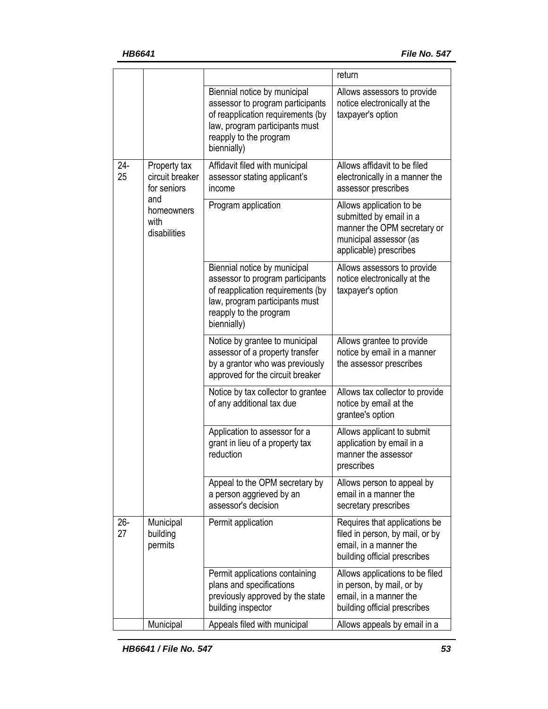|              |                                                                                             |                                                                                                                                                                                  | return                                                                                                                                 |
|--------------|---------------------------------------------------------------------------------------------|----------------------------------------------------------------------------------------------------------------------------------------------------------------------------------|----------------------------------------------------------------------------------------------------------------------------------------|
|              |                                                                                             | Biennial notice by municipal<br>assessor to program participants<br>of reapplication requirements (by<br>law, program participants must<br>reapply to the program<br>biennially) | Allows assessors to provide<br>notice electronically at the<br>taxpayer's option                                                       |
| $24 -$<br>25 | Property tax<br>circuit breaker<br>for seniors<br>and<br>homeowners<br>with<br>disabilities | Affidavit filed with municipal<br>assessor stating applicant's<br>income                                                                                                         | Allows affidavit to be filed<br>electronically in a manner the<br>assessor prescribes                                                  |
|              |                                                                                             | Program application                                                                                                                                                              | Allows application to be<br>submitted by email in a<br>manner the OPM secretary or<br>municipal assessor (as<br>applicable) prescribes |
|              |                                                                                             | Biennial notice by municipal<br>assessor to program participants<br>of reapplication requirements (by<br>law, program participants must<br>reapply to the program<br>biennially) | Allows assessors to provide<br>notice electronically at the<br>taxpayer's option                                                       |
|              |                                                                                             | Notice by grantee to municipal<br>assessor of a property transfer<br>by a grantor who was previously<br>approved for the circuit breaker                                         | Allows grantee to provide<br>notice by email in a manner<br>the assessor prescribes                                                    |
|              |                                                                                             | Notice by tax collector to grantee<br>of any additional tax due                                                                                                                  | Allows tax collector to provide<br>notice by email at the<br>grantee's option                                                          |
|              |                                                                                             | Application to assessor for a<br>grant in lieu of a property tax<br>reduction                                                                                                    | Allows applicant to submit<br>application by email in a<br>manner the assessor<br>prescribes                                           |
|              |                                                                                             | Appeal to the OPM secretary by<br>a person aggrieved by an<br>assessor's decision                                                                                                | Allows person to appeal by<br>email in a manner the<br>secretary prescribes                                                            |
| $26 -$<br>27 | Municipal<br>building<br>permits                                                            | Permit application                                                                                                                                                               | Requires that applications be<br>filed in person, by mail, or by<br>email, in a manner the<br>building official prescribes             |
|              |                                                                                             | Permit applications containing<br>plans and specifications<br>previously approved by the state<br>building inspector                                                             | Allows applications to be filed<br>in person, by mail, or by<br>email, in a manner the<br>building official prescribes                 |
|              | Municipal                                                                                   | Appeals filed with municipal                                                                                                                                                     | Allows appeals by email in a                                                                                                           |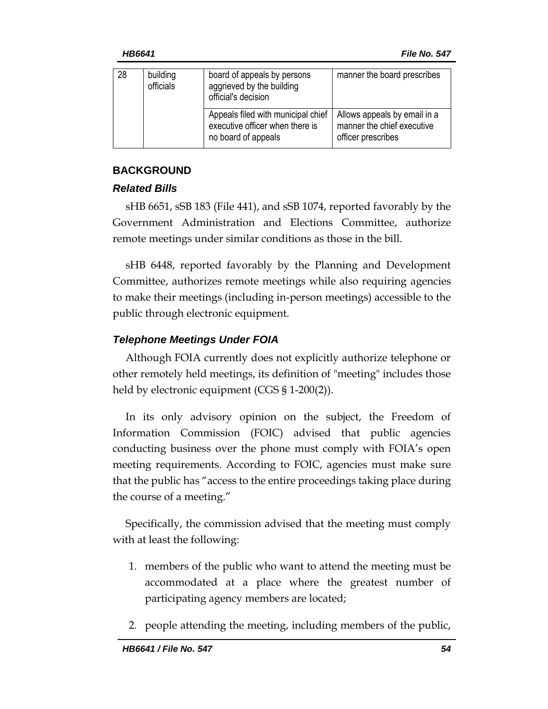| 28 | building<br>officials | board of appeals by persons<br>aggrieved by the building<br>official's decision              | manner the board prescribes                                                      |
|----|-----------------------|----------------------------------------------------------------------------------------------|----------------------------------------------------------------------------------|
|    |                       | Appeals filed with municipal chief<br>executive officer when there is<br>no board of appeals | Allows appeals by email in a<br>manner the chief executive<br>officer prescribes |

# **BACKGROUND**

# *Related Bills*

sHB 6651, sSB 183 (File 441), and sSB 1074, reported favorably by the Government Administration and Elections Committee, authorize remote meetings under similar conditions as those in the bill.

sHB 6448, reported favorably by the Planning and Development Committee, authorizes remote meetings while also requiring agencies to make their meetings (including in-person meetings) accessible to the public through electronic equipment.

# *Telephone Meetings Under FOIA*

Although FOIA currently does not explicitly authorize telephone or other remotely held meetings, its definition of "meeting" includes those held by electronic equipment (CGS § 1-200(2)).

In its only advisory opinion on the subject, the Freedom of Information Commission (FOIC) advised that public agencies conducting business over the phone must comply with FOIA's open meeting requirements. According to FOIC, agencies must make sure that the public has "access to the entire proceedings taking place during the course of a meeting."

Specifically, the commission advised that the meeting must comply with at least the following:

- 1. members of the public who want to attend the meeting must be accommodated at a place where the greatest number of participating agency members are located;
- 2. people attending the meeting, including members of the public,